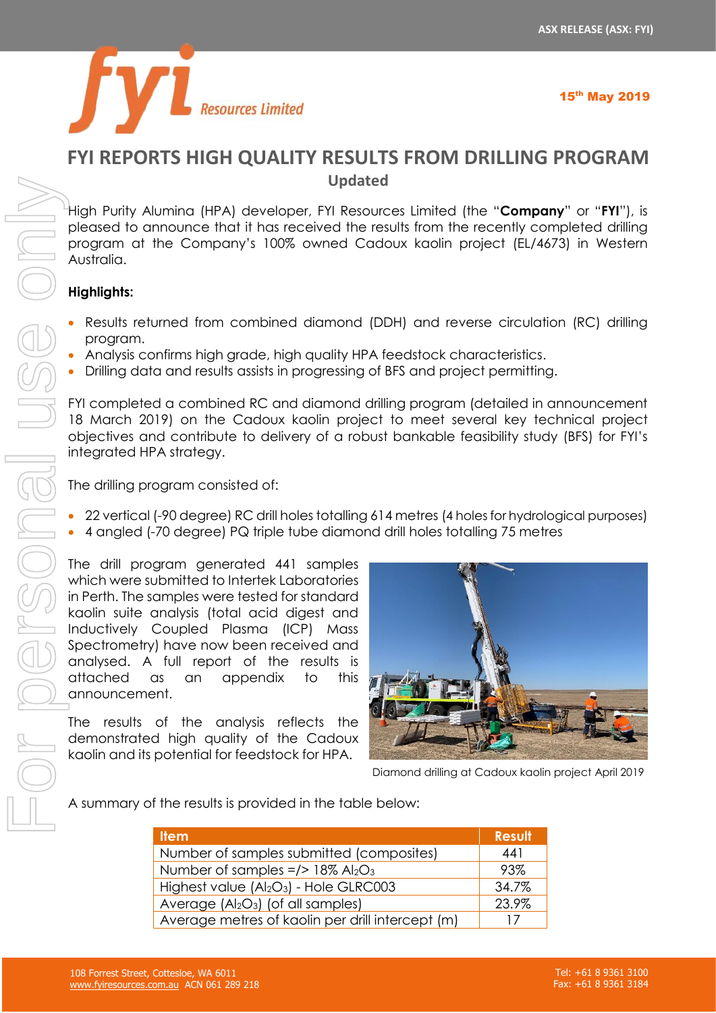

# **FYI REPORTS HIGH QUALITY RESULTS FROM DRILLING PROGRAM Updated**

High Purity Alumina (HPA) developer, FYI Resources Limited (the "**Company**" or "**FYI**"), is pleased to announce that it has received the results from the recently completed drilling program at the Company's 100% owned Cadoux kaolin project (EL/4673) in Western Australia.

# **Highlights:**

- Results returned from combined diamond (DDH) and reverse circulation (RC) drilling program.
- Analysis confirms high grade, high quality HPA feedstock characteristics.
- Drilling data and results assists in progressing of BFS and project permitting.

FYI completed a combined RC and diamond drilling program (detailed in announcement 18 March 2019) on the Cadoux kaolin project to meet several key technical project objectives and contribute to delivery of a robust bankable feasibility study (BFS) for FYI's integrated HPA strategy.

The drilling program consisted of:

- 22 vertical (-90 degree) RC drill holes totalling 614 metres (4 holes for hydrological purposes)
- 4 angled (-70 degree) PQ triple tube diamond drill holes totalling 75 metres

The drill program generated 441 samples which were submitted to Intertek Laboratories in Perth. The samples were tested for standard kaolin suite analysis (total acid digest and Inductively Coupled Plasma (ICP) Mass Spectrometry) have now been received and analysed. A full report of the results is attached as an appendix to this announcement.

The results of the analysis reflects the demonstrated high quality of the Cadoux kaolin and its potential for feedstock for HPA.



Diamond drilling at Cadoux kaolin project April 2019

A summary of the results is provided in the table below:

| <b>Item</b>                                                    | <b>Result</b> |
|----------------------------------------------------------------|---------------|
| Number of samples submitted (composites)                       | 441           |
| Number of samples $=$ /> 18% Al <sub>2</sub> O <sub>3</sub>    | 93%           |
| Highest value (Al <sub>2</sub> O <sub>3</sub> ) - Hole GLRC003 | 34.7%         |
| Average $(AI2O3)$ (of all samples)                             | 23.9%         |
| Average metres of kaolin per drill intercept (m)               | 17            |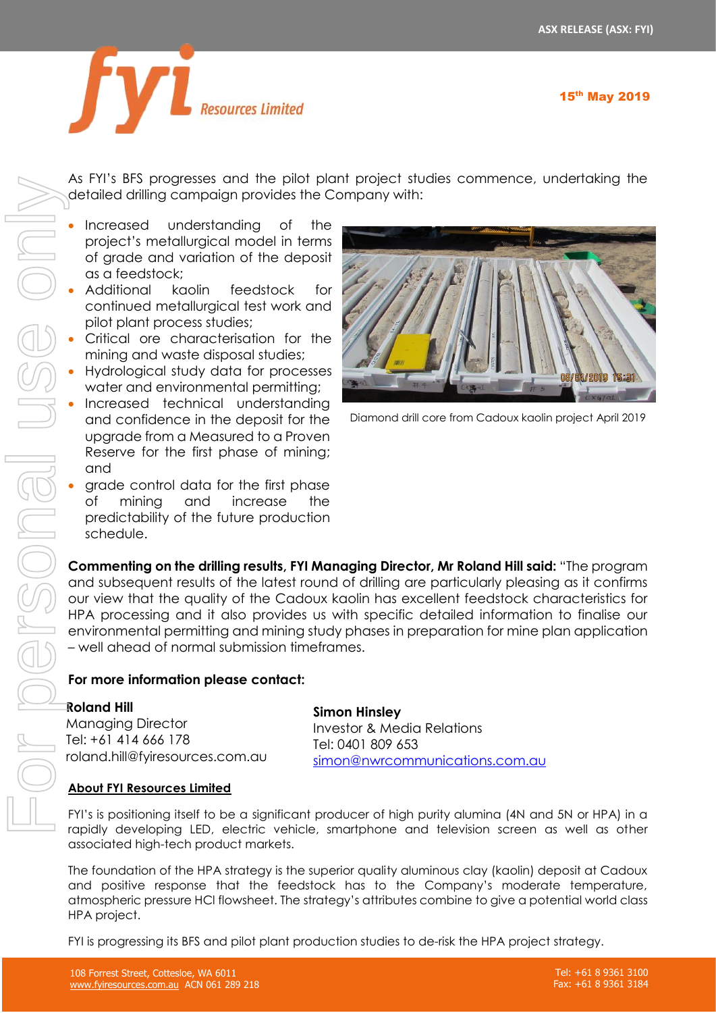

As FYI's BFS progresses and the pilot plant project studies commence, undertaking the detailed drilling campaign provides the Company with:

- Increased understanding of the project's metallurgical model in terms of grade and variation of the deposit as a feedstock;
- Additional kaolin feedstock for continued metallurgical test work and pilot plant process studies;
- Critical ore characterisation for the mining and waste disposal studies;
- Hydrological study data for processes water and environmental permitting;
- Increased technical understanding and confidence in the deposit for the upgrade from a Measured to a Proven Reserve for the first phase of mining; and
- grade control data for the first phase of mining and increase the predictability of the future production schedule.



Diamond drill core from Cadoux kaolin project April 2019

**Commenting on the drilling results, FYI Managing Director, Mr Roland Hill said:** "The program and subsequent results of the latest round of drilling are particularly pleasing as it confirms our view that the quality of the Cadoux kaolin has excellent feedstock characteristics for HPA processing and it also provides us with specific detailed information to finalise our environmental permitting and mining study phases in preparation for mine plan application – well ahead of normal submission timeframes.

# **For more information please contact:**

## **Roland Hill**

Managing Director Tel: +61 414 666 178 roland.hill@fyiresources.com.au **Simon Hinsley** Investor & Media Relations

Tel: 0401 809 653 [simon@nwrcommunications.com.au](mailto:simon@nwrcommunications.com.au)

# **About FYI Resources Limited**

FYI's is positioning itself to be a significant producer of high purity alumina (4N and 5N or HPA) in a rapidly developing LED, electric vehicle, smartphone and television screen as well as other associated high-tech product markets.

The foundation of the HPA strategy is the superior quality aluminous clay (kaolin) deposit at Cadoux and positive response that the feedstock has to the Company's moderate temperature, atmospheric pressure HCl flowsheet. The strategy's attributes combine to give a potential world class HPA project.

FYI is progressing its BFS and pilot plant production studies to de-risk the HPA project strategy.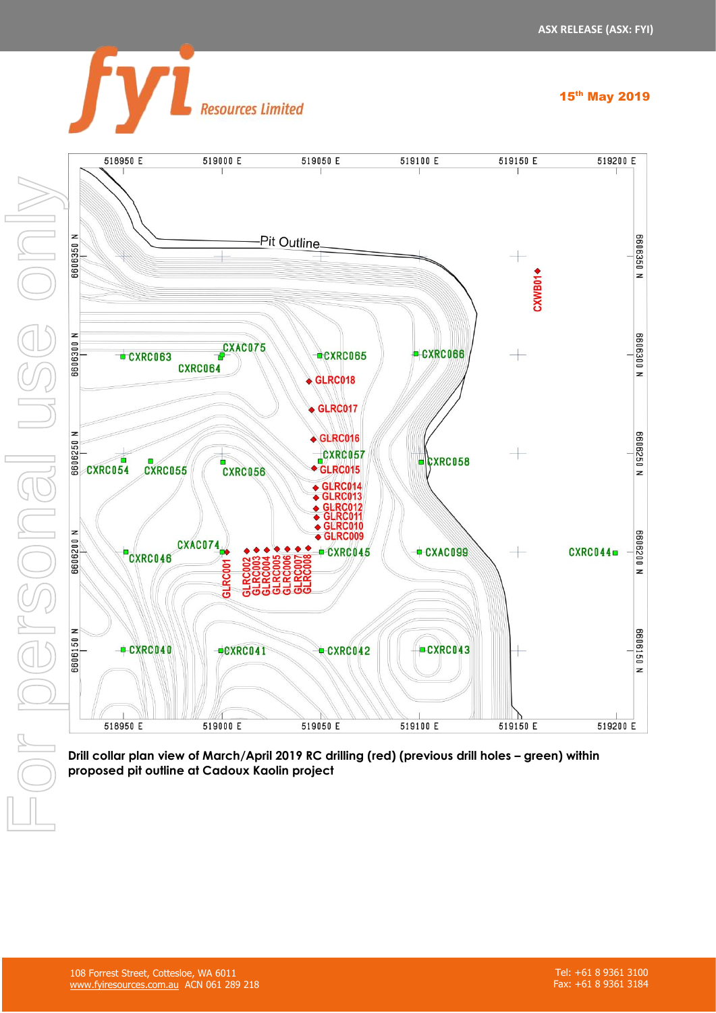



**Resources Limited** 

Drill collar plan view of March/April 2019 RC drilling (red) (previous drill holes – green) within proposed pit outline at Cadoux Kaolin project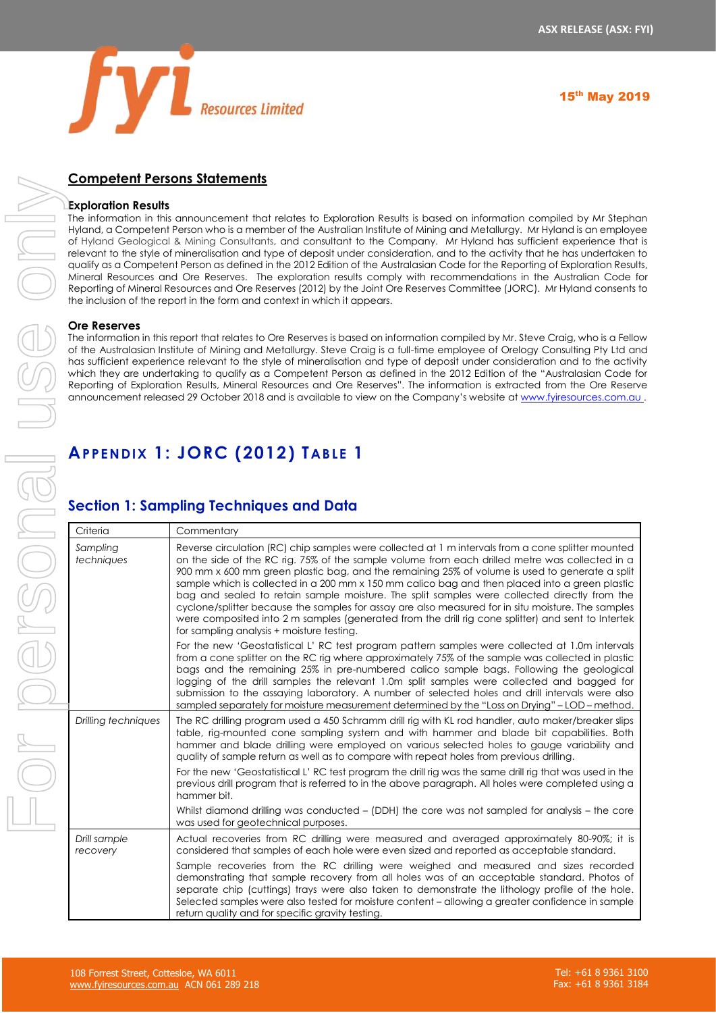

# **Competent Persons Statements**

#### **Exploration Results**

The information in this announcement that relates to Exploration Results is based on information compiled by Mr Stephan Hyland, a Competent Person who is a member of the Australian Institute of Mining and Metallurgy. Mr Hyland is an employee of Hyland Geological & Mining Consultants, and consultant to the Company. Mr Hyland has sufficient experience that is relevant to the style of mineralisation and type of deposit under consideration, and to the activity that he has undertaken to qualify as a Competent Person as defined in the 2012 Edition of the Australasian Code for the Reporting of Exploration Results, Mineral Resources and Ore Reserves. The exploration results comply with recommendations in the Australian Code for Reporting of Mineral Resources and Ore Reserves (2012) by the Joint Ore Reserves Committee (JORC). Mr Hyland consents to the inclusion of the report in the form and context in which it appears.

#### **Ore Reserves**

The information in this report that relates to Ore Reserves is based on information compiled by Mr. Steve Craig, who is a Fellow of the Australasian Institute of Mining and Metallurgy. Steve Craig is a full-time employee of Orelogy Consulting Pty Ltd and has sufficient experience relevant to the style of mineralisation and type of deposit under consideration and to the activity which they are undertaking to qualify as a Competent Person as defined in the 2012 Edition of the "Australasian Code for Reporting of Exploration Results, Mineral Resources and Ore Reserves". The information is extracted from the Ore Reserve announcement released 29 October 2018 and is available to view on the Company's website at [www.fyiresources.com.au](http://www.fyiresources.com.au/) .

# **APPENDIX 1: JORC (2012) TABLE 1**

# **Section 1: Sampling Techniques and Data**

| Criteria                 | Commentary                                                                                                                                                                                                                                                                                                                                                                                                                                                                                                                                                                                                                                                                                                                                                        |
|--------------------------|-------------------------------------------------------------------------------------------------------------------------------------------------------------------------------------------------------------------------------------------------------------------------------------------------------------------------------------------------------------------------------------------------------------------------------------------------------------------------------------------------------------------------------------------------------------------------------------------------------------------------------------------------------------------------------------------------------------------------------------------------------------------|
| Sampling<br>techniques   | Reverse circulation (RC) chip samples were collected at 1 m intervals from a cone splitter mounted<br>on the side of the RC rig. 75% of the sample volume from each drilled metre was collected in a<br>900 mm x 600 mm green plastic bag, and the remaining 25% of volume is used to generate a split<br>sample which is collected in a 200 mm x 150 mm calico bag and then placed into a green plastic<br>bag and sealed to retain sample moisture. The split samples were collected directly from the<br>cyclone/splitter because the samples for assay are also measured for in situ moisture. The samples<br>were composited into 2 m samples (generated from the drill rig cone splitter) and sent to Intertek<br>for sampling analysis + moisture testing. |
|                          | For the new 'Geostatistical L' RC test program pattern samples were collected at 1.0m intervals<br>from a cone splitter on the RC rig where approximately 75% of the sample was collected in plastic<br>bags and the remaining 25% in pre-numbered calico sample bags. Following the geological<br>logging of the drill samples the relevant 1.0m split samples were collected and bagged for<br>submission to the assaying laboratory. A number of selected holes and drill intervals were also<br>sampled separately for moisture measurement determined by the "Loss on Drying" - LOD - method.                                                                                                                                                                |
| Drilling techniques      | The RC drilling program used a 450 Schramm drill rig with KL rod handler, auto maker/breaker slips<br>table, rig-mounted cone sampling system and with hammer and blade bit capabilities. Both<br>hammer and blade drilling were employed on various selected holes to gauge variability and<br>quality of sample return as well as to compare with repeat holes from previous drilling.<br>For the new 'Geostatistical L' RC test program the drill rig was the same drill rig that was used in the<br>previous drill program that is referred to in the above paragraph. All holes were completed using a<br>hammer bit.                                                                                                                                        |
|                          | Whilst diamond drilling was conducted – (DDH) the core was not sampled for analysis – the core<br>was used for geotechnical purposes.                                                                                                                                                                                                                                                                                                                                                                                                                                                                                                                                                                                                                             |
| Drill sample<br>recovery | Actual recoveries from RC drilling were measured and averaged approximately 80-90%; it is<br>considered that samples of each hole were even sized and reported as acceptable standard.<br>Sample recoveries from the RC drilling were weighed and measured and sizes recorded<br>demonstrating that sample recovery from all holes was of an acceptable standard. Photos of                                                                                                                                                                                                                                                                                                                                                                                       |
|                          | separate chip (cuttings) trays were also taken to demonstrate the lithology profile of the hole.<br>Selected samples were also tested for moisture content – allowing a greater confidence in sample<br>return quality and for specific gravity testing.                                                                                                                                                                                                                                                                                                                                                                                                                                                                                                          |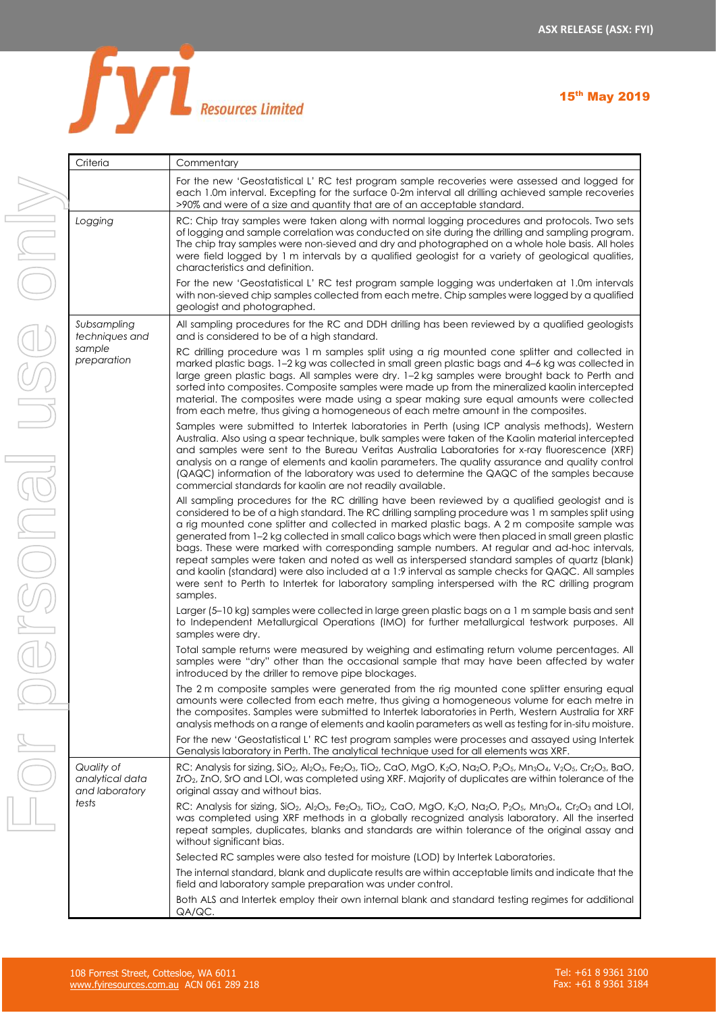

| Criteria                                        | Commentary                                                                                                                                                                                                                                                                                                                                                                                                                                                                                                                                                                                                                                                                                                                                                                                                                        |  |  |  |  |  |  |
|-------------------------------------------------|-----------------------------------------------------------------------------------------------------------------------------------------------------------------------------------------------------------------------------------------------------------------------------------------------------------------------------------------------------------------------------------------------------------------------------------------------------------------------------------------------------------------------------------------------------------------------------------------------------------------------------------------------------------------------------------------------------------------------------------------------------------------------------------------------------------------------------------|--|--|--|--|--|--|
|                                                 | For the new 'Geostatistical L' RC test program sample recoveries were assessed and logged for<br>each 1.0m interval. Excepting for the surface 0-2m interval all drilling achieved sample recoveries<br>>90% and were of a size and quantity that are of an acceptable standard.                                                                                                                                                                                                                                                                                                                                                                                                                                                                                                                                                  |  |  |  |  |  |  |
| Logging                                         | RC: Chip tray samples were taken along with normal logging procedures and protocols. Two sets<br>of logging and sample correlation was conducted on site during the drilling and sampling program.<br>The chip tray samples were non-sieved and dry and photographed on a whole hole basis. All holes<br>were field logged by 1 m intervals by a qualified geologist for a variety of geological qualities,<br>characteristics and definition.                                                                                                                                                                                                                                                                                                                                                                                    |  |  |  |  |  |  |
|                                                 | For the new 'Geostatistical L' RC test program sample logging was undertaken at 1.0m intervals<br>with non-sieved chip samples collected from each metre. Chip samples were logged by a qualified<br>geologist and photographed.                                                                                                                                                                                                                                                                                                                                                                                                                                                                                                                                                                                                  |  |  |  |  |  |  |
| Subsampling<br>techniques and                   | All sampling procedures for the RC and DDH drilling has been reviewed by a qualified geologists<br>and is considered to be of a high standard.                                                                                                                                                                                                                                                                                                                                                                                                                                                                                                                                                                                                                                                                                    |  |  |  |  |  |  |
| sample<br>preparation                           | RC drilling procedure was 1 m samples split using a rig mounted cone splitter and collected in<br>marked plastic bags. 1-2 kg was collected in small green plastic bags and 4-6 kg was collected in<br>large green plastic bags. All samples were dry. 1-2 kg samples were brought back to Perth and<br>sorted into composites. Composite samples were made up from the mineralized kaolin intercepted<br>material. The composites were made using a spear making sure equal amounts were collected<br>from each metre, thus giving a homogeneous of each metre amount in the composites.                                                                                                                                                                                                                                         |  |  |  |  |  |  |
|                                                 | Samples were submitted to Intertek laboratories in Perth (using ICP analysis methods), Western<br>Australia. Also using a spear technique, bulk samples were taken of the Kaolin material intercepted<br>and samples were sent to the Bureau Veritas Australia Laboratories for x-ray fluorescence (XRF)<br>analysis on a range of elements and kaolin parameters. The quality assurance and quality control<br>(QAQC) information of the laboratory was used to determine the QAQC of the samples because<br>commercial standards for kaolin are not readily available.                                                                                                                                                                                                                                                          |  |  |  |  |  |  |
|                                                 | All sampling procedures for the RC drilling have been reviewed by a qualified geologist and is<br>considered to be of a high standard. The RC drilling sampling procedure was 1 m samples split using<br>a rig mounted cone splitter and collected in marked plastic bags. A 2 m composite sample was<br>generated from 1-2 kg collected in small calico bags which were then placed in small green plastic<br>bags. These were marked with corresponding sample numbers. At regular and ad-hoc intervals,<br>repeat samples were taken and noted as well as interspersed standard samples of quartz (blank)<br>and kaolin (standard) were also included at a 1:9 interval as sample checks for QAQC. All samples<br>were sent to Perth to Intertek for laboratory sampling interspersed with the RC drilling program<br>samples. |  |  |  |  |  |  |
|                                                 | Larger (5-10 kg) samples were collected in large green plastic bags on a 1 m sample basis and sent<br>to Independent Metallurgical Operations (IMO) for further metallurgical testwork purposes. All<br>samples were dry.                                                                                                                                                                                                                                                                                                                                                                                                                                                                                                                                                                                                         |  |  |  |  |  |  |
|                                                 | Total sample returns were measured by weighing and estimating return volume percentages. All<br>samples were "dry" other than the occasional sample that may have been affected by water<br>introduced by the driller to remove pipe blockages.                                                                                                                                                                                                                                                                                                                                                                                                                                                                                                                                                                                   |  |  |  |  |  |  |
|                                                 | The 2 m composite samples were generated from the rig mounted cone splitter ensuring equal<br>amounts were collected from each metre, thus giving a homogeneous volume for each metre in<br>the composites. Samples were submitted to Intertek laboratories in Perth, Western Australia for XRF<br>analysis methods on a range of elements and kaolin parameters as well as testing for in-situ moisture.                                                                                                                                                                                                                                                                                                                                                                                                                         |  |  |  |  |  |  |
|                                                 | For the new 'Geostatistical L' RC test program samples were processes and assayed using Intertek<br>Genalysis laboratory in Perth. The analytical technique used for all elements was XRF.                                                                                                                                                                                                                                                                                                                                                                                                                                                                                                                                                                                                                                        |  |  |  |  |  |  |
| Quality of<br>analytical data<br>and laboratory | RC: Analysis for sizing, SiO <sub>2</sub> , Al <sub>2</sub> O <sub>3</sub> , Fe <sub>2</sub> O <sub>3</sub> , TiO <sub>2</sub> , CaO, MgO, K <sub>2</sub> O, Na <sub>2</sub> O, P <sub>2</sub> O <sub>5</sub> , Mn <sub>3</sub> O <sub>4</sub> , V <sub>2</sub> O <sub>5</sub> , Cr <sub>2</sub> O <sub>3</sub> , BaO,<br>$ZrO2$ , $ZnO$ , SrO and LOI, was completed using XRF. Majority of duplicates are within tolerance of the<br>original assay and without bias.                                                                                                                                                                                                                                                                                                                                                           |  |  |  |  |  |  |
| tests                                           | RC: Analysis for sizing, SiO <sub>2</sub> , Al <sub>2</sub> O <sub>3</sub> , Fe <sub>2</sub> O <sub>3</sub> , TiO <sub>2</sub> , CaO, MgO, K <sub>2</sub> O, Na <sub>2</sub> O, P <sub>2</sub> O <sub>5</sub> , Mn <sub>3</sub> O <sub>4</sub> , Cr <sub>2</sub> O <sub>3</sub> and LOI,<br>was completed using XRF methods in a globally recognized analysis laboratory. All the inserted<br>repeat samples, duplicates, blanks and standards are within tolerance of the original assay and<br>without significant bias.                                                                                                                                                                                                                                                                                                        |  |  |  |  |  |  |
|                                                 | Selected RC samples were also tested for moisture (LOD) by Intertek Laboratories.                                                                                                                                                                                                                                                                                                                                                                                                                                                                                                                                                                                                                                                                                                                                                 |  |  |  |  |  |  |
|                                                 | The internal standard, blank and duplicate results are within acceptable limits and indicate that the<br>field and laboratory sample preparation was under control.                                                                                                                                                                                                                                                                                                                                                                                                                                                                                                                                                                                                                                                               |  |  |  |  |  |  |
|                                                 | Both ALS and Intertek employ their own internal blank and standard testing regimes for additional<br>QA/QC.                                                                                                                                                                                                                                                                                                                                                                                                                                                                                                                                                                                                                                                                                                                       |  |  |  |  |  |  |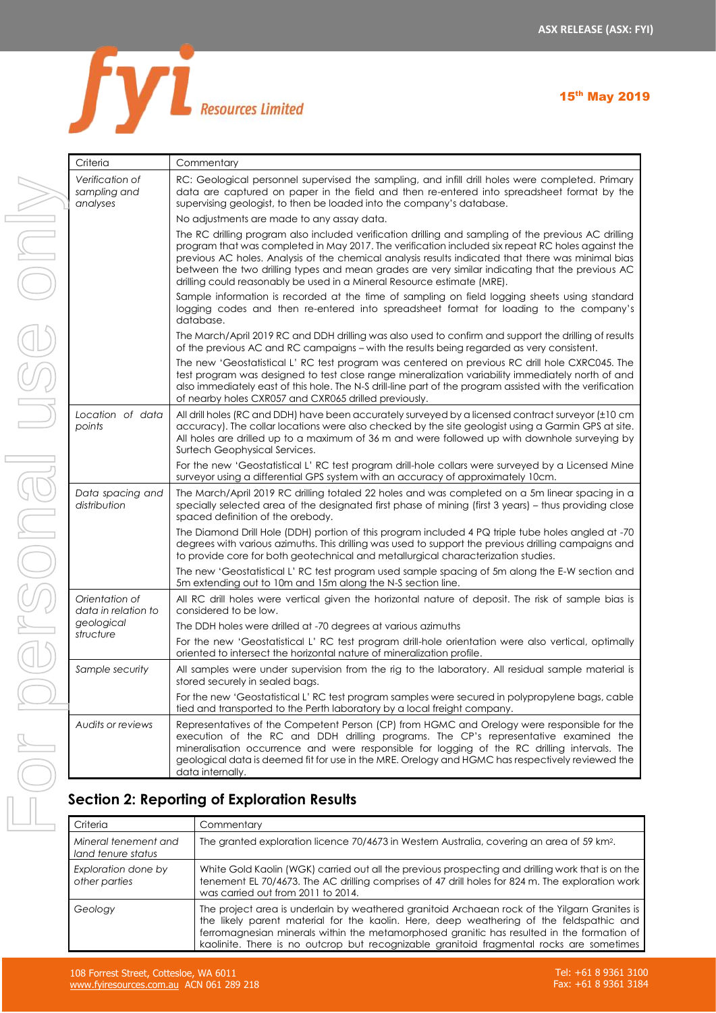

| Criteria                              |  |
|---------------------------------------|--|
| Verification of                       |  |
| sampling and<br>analyses              |  |
|                                       |  |
|                                       |  |
|                                       |  |
|                                       |  |
|                                       |  |
|                                       |  |
|                                       |  |
|                                       |  |
|                                       |  |
| Location of data<br>points            |  |
|                                       |  |
|                                       |  |
| Data spacing and                      |  |
| distribution                          |  |
|                                       |  |
|                                       |  |
|                                       |  |
| Orientation of<br>data in relation to |  |
| geological<br>structure               |  |
|                                       |  |
| Sample security                       |  |
|                                       |  |
| Audits or reviews                     |  |
|                                       |  |
|                                       |  |
| Section 2: Repo                       |  |
| Criteria                              |  |
| Mineral tenement and                  |  |
|                                       |  |

| Criteria                                    | Commentary                                                                                                                                                                                                                                                                                                                                                                                                                                                                                    |  |  |  |  |  |  |  |
|---------------------------------------------|-----------------------------------------------------------------------------------------------------------------------------------------------------------------------------------------------------------------------------------------------------------------------------------------------------------------------------------------------------------------------------------------------------------------------------------------------------------------------------------------------|--|--|--|--|--|--|--|
| Verification of<br>sampling and<br>analyses | RC: Geological personnel supervised the sampling, and infill drill holes were completed. Primary<br>data are captured on paper in the field and then re-entered into spreadsheet format by the<br>supervising geologist, to then be loaded into the company's database.                                                                                                                                                                                                                       |  |  |  |  |  |  |  |
|                                             | No adjustments are made to any assay data.                                                                                                                                                                                                                                                                                                                                                                                                                                                    |  |  |  |  |  |  |  |
|                                             | The RC drilling program also included verification drilling and sampling of the previous AC drilling<br>program that was completed in May 2017. The verification included six repeat RC holes against the<br>previous AC holes. Analysis of the chemical analysis results indicated that there was minimal bias<br>between the two drilling types and mean grades are very similar indicating that the previous AC<br>drilling could reasonably be used in a Mineral Resource estimate (MRE). |  |  |  |  |  |  |  |
|                                             | Sample information is recorded at the time of sampling on field logging sheets using standard<br>logging codes and then re-entered into spreadsheet format for loading to the company's<br>database.                                                                                                                                                                                                                                                                                          |  |  |  |  |  |  |  |
|                                             | The March/April 2019 RC and DDH drilling was also used to confirm and support the drilling of results<br>of the previous AC and RC campaigns - with the results being regarded as very consistent.                                                                                                                                                                                                                                                                                            |  |  |  |  |  |  |  |
|                                             | The new 'Geostatistical L' RC test program was centered on previous RC drill hole CXRC045. The<br>test program was designed to test close range mineralization variability immediately north of and<br>also immediately east of this hole. The N-S drill-line part of the program assisted with the verification<br>of nearby holes CXR057 and CXR065 drilled previously.                                                                                                                     |  |  |  |  |  |  |  |
| Location of data<br>points                  | All drill holes (RC and DDH) have been accurately surveyed by a licensed contract surveyor (±10 cm<br>accuracy). The collar locations were also checked by the site geologist using a Garmin GPS at site.<br>All holes are drilled up to a maximum of 36 m and were followed up with downhole surveying by<br>Surtech Geophysical Services.                                                                                                                                                   |  |  |  |  |  |  |  |
|                                             | For the new 'Geostatistical L' RC test program drill-hole collars were surveyed by a Licensed Mine<br>surveyor using a differential GPS system with an accuracy of approximately 10cm.                                                                                                                                                                                                                                                                                                        |  |  |  |  |  |  |  |
| Data spacing and<br>distribution            | The March/April 2019 RC drilling totaled 22 holes and was completed on a 5m linear spacing in a<br>specially selected area of the designated first phase of mining (first 3 years) - thus providing close<br>spaced definition of the orebody.                                                                                                                                                                                                                                                |  |  |  |  |  |  |  |
|                                             | The Diamond Drill Hole (DDH) portion of this program included 4 PQ triple tube holes angled at -70<br>degrees with various azimuths. This drilling was used to support the previous drilling campaigns and<br>to provide core for both geotechnical and metallurgical characterization studies.                                                                                                                                                                                               |  |  |  |  |  |  |  |
|                                             | The new 'Geostatistical L' RC test program used sample spacing of 5m along the E-W section and<br>5m extending out to 10m and 15m along the N-S section line.                                                                                                                                                                                                                                                                                                                                 |  |  |  |  |  |  |  |
| Orientation of<br>data in relation to       | All RC drill holes were vertical given the horizontal nature of deposit. The risk of sample bias is<br>considered to be low.                                                                                                                                                                                                                                                                                                                                                                  |  |  |  |  |  |  |  |
| geological                                  | The DDH holes were drilled at -70 degrees at various azimuths                                                                                                                                                                                                                                                                                                                                                                                                                                 |  |  |  |  |  |  |  |
| structure                                   | For the new 'Geostatistical L' RC test program drill-hole orientation were also vertical, optimally<br>oriented to intersect the horizontal nature of mineralization profile.                                                                                                                                                                                                                                                                                                                 |  |  |  |  |  |  |  |
| Sample security                             | All samples were under supervision from the rig to the laboratory. All residual sample material is<br>stored securely in sealed bags.                                                                                                                                                                                                                                                                                                                                                         |  |  |  |  |  |  |  |
|                                             | For the new 'Geostatistical L'RC test program samples were secured in polypropylene bags, cable<br>tied and transported to the Perth laboratory by a local freight company.                                                                                                                                                                                                                                                                                                                   |  |  |  |  |  |  |  |
| Audits or reviews                           | Representatives of the Competent Person (CP) from HGMC and Orelogy were responsible for the<br>execution of the RC and DDH drilling programs. The CP's representative examined the<br>mineralisation occurrence and were responsible for logging of the RC drilling intervals. The<br>geological data is deemed fit for use in the MRE. Orelogy and HGMC has respectively reviewed the<br>data internally.                                                                                    |  |  |  |  |  |  |  |

# **Section 2: Reporting of Exploration Results**

| Criteria                                   | Commentary                                                                                                                                                                                                                                                                                                                                                                         |
|--------------------------------------------|------------------------------------------------------------------------------------------------------------------------------------------------------------------------------------------------------------------------------------------------------------------------------------------------------------------------------------------------------------------------------------|
| Mineral tenement and<br>land tenure status | The granted exploration licence 70/4673 in Western Australia, covering an area of 59 km <sup>2</sup> .                                                                                                                                                                                                                                                                             |
| Exploration done by<br>other parties       | White Gold Kaolin (WGK) carried out all the previous prospecting and drilling work that is on the<br>tenement EL 70/4673. The AC drilling comprises of 47 drill holes for 824 m. The exploration work<br>was carried out from 2011 to 2014.                                                                                                                                        |
| Geology                                    | The project area is underlain by weathered granitoid Archaean rock of the Yilgarn Granites is<br>the likely parent material for the kaolin. Here, deep weathering of the feldspathic and<br>ferromagnesian minerals within the metamorphosed granitic has resulted in the formation of<br>kaolinite. There is no outcrop but recognizable granitoid fragmental rocks are sometimes |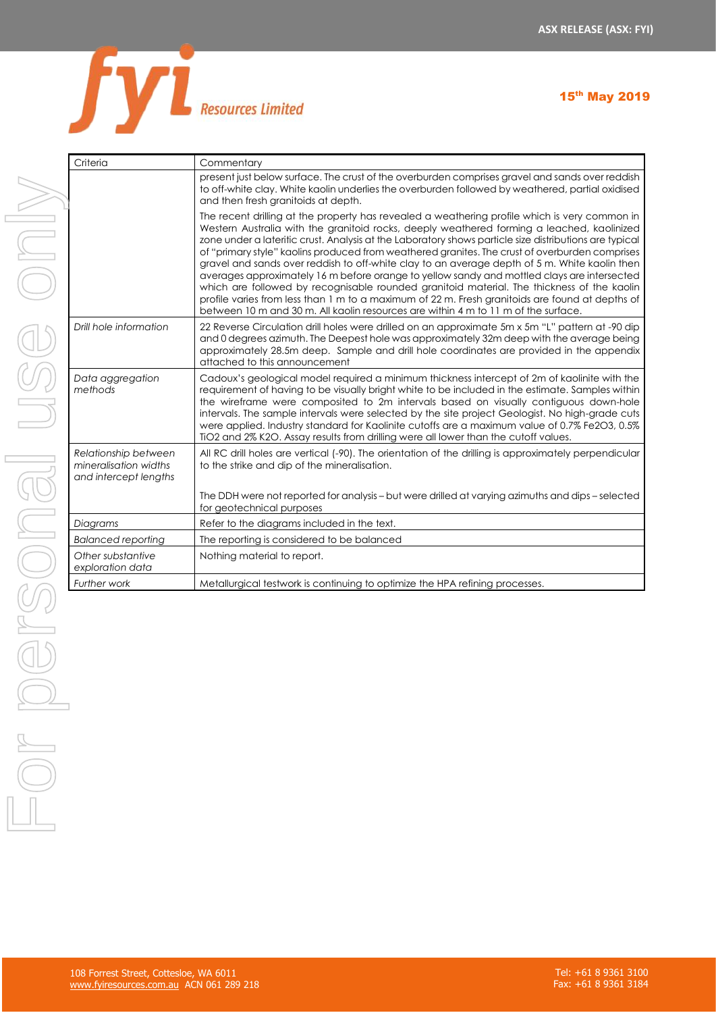

| Criteria                                                               | Commentary                                                                                                                                                                                                                                                                                                                                                                                                                                                                                                                                                                                                                                                                                                                                                                                                                                                                                     |
|------------------------------------------------------------------------|------------------------------------------------------------------------------------------------------------------------------------------------------------------------------------------------------------------------------------------------------------------------------------------------------------------------------------------------------------------------------------------------------------------------------------------------------------------------------------------------------------------------------------------------------------------------------------------------------------------------------------------------------------------------------------------------------------------------------------------------------------------------------------------------------------------------------------------------------------------------------------------------|
|                                                                        | present just below surface. The crust of the overburden comprises gravel and sands over reddish<br>to off-white clay. White kaolin underlies the overburden followed by weathered, partial oxidised<br>and then fresh granitoids at depth.                                                                                                                                                                                                                                                                                                                                                                                                                                                                                                                                                                                                                                                     |
|                                                                        | The recent drilling at the property has revealed a weathering profile which is very common in<br>Western Australia with the granitoid rocks, deeply weathered forming a leached, kaolinized<br>zone under a lateritic crust. Analysis at the Laboratory shows particle size distributions are typical<br>of "primary style" kaolins produced from weathered granites. The crust of overburden comprises<br>gravel and sands over reddish to off-white clay to an average depth of 5 m. White kaolin then<br>averages approximately 16 m before orange to yellow sandy and mottled clays are intersected<br>which are followed by recognisable rounded granitoid material. The thickness of the kaolin<br>profile varies from less than 1 m to a maximum of 22 m. Fresh granitoids are found at depths of<br>between 10 m and 30 m. All kaolin resources are within 4 m to 11 m of the surface. |
| Drill hole information                                                 | 22 Reverse Circulation drill holes were drilled on an approximate 5m x 5m "L" pattern at -90 dip<br>and 0 degrees azimuth. The Deepest hole was approximately 32m deep with the average being<br>approximately 28.5m deep. Sample and drill hole coordinates are provided in the appendix<br>attached to this announcement                                                                                                                                                                                                                                                                                                                                                                                                                                                                                                                                                                     |
| Data aggregation<br>methods                                            | Cadoux's geological model required a minimum thickness intercept of 2m of kaolinite with the<br>requirement of having to be visually bright white to be included in the estimate. Samples within<br>the wireframe were composited to 2m intervals based on visually contiguous down-hole<br>intervals. The sample intervals were selected by the site project Geologist. No high-grade cuts<br>were applied. Industry standard for Kaolinite cutoffs are a maximum value of 0.7% Fe2O3, 0.5%<br>TiO2 and 2% K2O. Assay results from drilling were all lower than the cutoff values.                                                                                                                                                                                                                                                                                                            |
| Relationship between<br>mineralisation widths<br>and intercept lengths | All RC drill holes are vertical (-90). The orientation of the drilling is approximately perpendicular<br>to the strike and dip of the mineralisation.                                                                                                                                                                                                                                                                                                                                                                                                                                                                                                                                                                                                                                                                                                                                          |
|                                                                        | The DDH were not reported for analysis - but were drilled at varying azimuths and dips - selected<br>for geotechnical purposes                                                                                                                                                                                                                                                                                                                                                                                                                                                                                                                                                                                                                                                                                                                                                                 |
| Diagrams                                                               | Refer to the diagrams included in the text.                                                                                                                                                                                                                                                                                                                                                                                                                                                                                                                                                                                                                                                                                                                                                                                                                                                    |
| <b>Balanced reporting</b>                                              | The reporting is considered to be balanced                                                                                                                                                                                                                                                                                                                                                                                                                                                                                                                                                                                                                                                                                                                                                                                                                                                     |
| Other substantive<br>exploration data                                  | Nothing material to report.                                                                                                                                                                                                                                                                                                                                                                                                                                                                                                                                                                                                                                                                                                                                                                                                                                                                    |
| Further work                                                           | Metallurgical testwork is continuing to optimize the HPA refining processes.                                                                                                                                                                                                                                                                                                                                                                                                                                                                                                                                                                                                                                                                                                                                                                                                                   |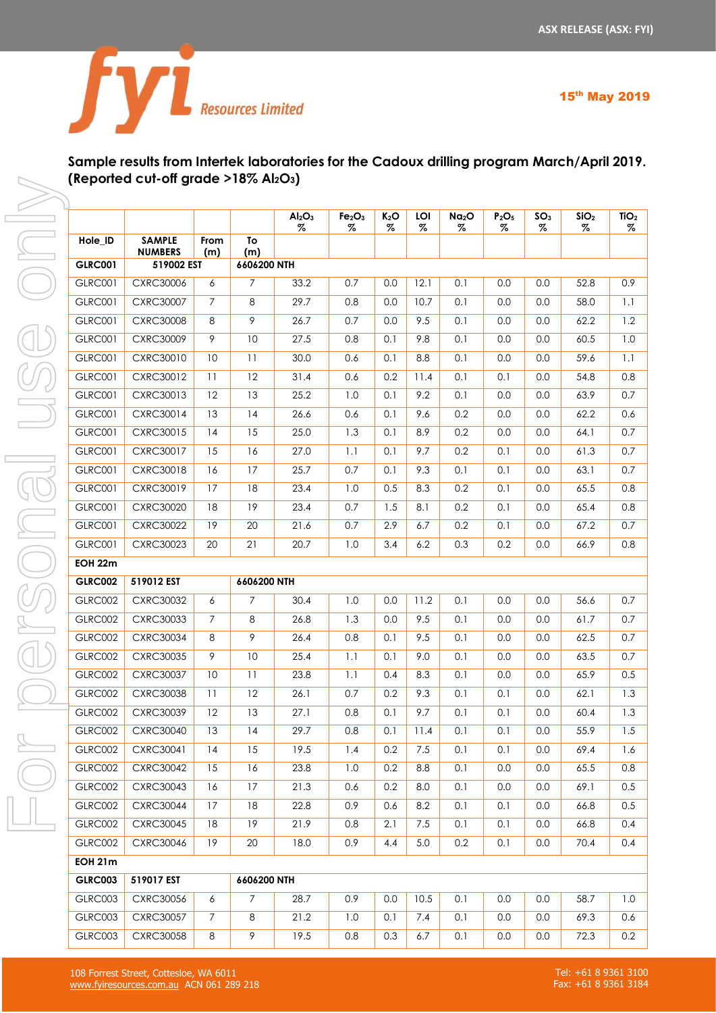

# **Sample results from Intertek laboratories for the Cadoux drilling program March/April 2019. (Reported cut-off grade >18% Al2O3)**

|                |                                 |                |                | Al <sub>2</sub> O <sub>3</sub><br>$\%$ | Fe <sub>2</sub> O <sub>3</sub><br>% | $K_2O$<br>$\%$ | LOI<br>% | Na <sub>2</sub> O<br>% | P <sub>2</sub> O <sub>5</sub><br>% | SO <sub>3</sub><br>% | SiO <sub>2</sub><br>% | TiO <sub>2</sub><br>% |
|----------------|---------------------------------|----------------|----------------|----------------------------------------|-------------------------------------|----------------|----------|------------------------|------------------------------------|----------------------|-----------------------|-----------------------|
| Hole_ID        | <b>SAMPLE</b><br><b>NUMBERS</b> | From<br>(m)    | To<br>(m)      |                                        |                                     |                |          |                        |                                    |                      |                       |                       |
| <b>GLRC001</b> | 519002 EST                      |                | 6606200 NTH    |                                        |                                     |                |          |                        |                                    |                      |                       |                       |
| <b>GLRC001</b> | <b>CXRC30006</b>                | 6              | $\overline{7}$ | 33.2                                   | 0.7                                 | 0.0            | 12.1     | 0.1                    | 0.0                                | 0.0                  | 52.8                  | 0.9                   |
| <b>GLRC001</b> | <b>CXRC30007</b>                | $\overline{7}$ | 8              | 29.7                                   | 0.8                                 | 0.0            | 10.7     | 0.1                    | 0.0                                | 0.0                  | 58.0                  | 1.1                   |
| <b>GLRC001</b> | <b>CXRC30008</b>                | 8              | 9              | 26.7                                   | 0.7                                 | 0.0            | 9.5      | 0.1                    | 0.0                                | 0.0                  | 62.2                  | 1.2                   |
| <b>GLRC001</b> | <b>CXRC30009</b>                | 9              | 10             | 27.5                                   | 0.8                                 | 0.1            | 9.8      | 0.1                    | 0.0                                | 0.0                  | 60.5                  | 1.0                   |
| <b>GLRC001</b> | <b>CXRC30010</b>                | 10             | 11             | 30.0                                   | 0.6                                 | 0.1            | 8.8      | 0.1                    | 0.0                                | 0.0                  | 59.6                  | 1.1                   |
| <b>GLRC001</b> | <b>CXRC30012</b>                | 11             | 12             | 31.4                                   | 0.6                                 | 0.2            | 11.4     | 0.1                    | 0.1                                | 0.0                  | 54.8                  | 0.8                   |
| <b>GLRC001</b> | CXRC30013                       | 12             | 13             | 25.2                                   | 1.0                                 | 0.1            | 9.2      | 0.1                    | 0.0                                | 0.0                  | 63.9                  | 0.7                   |
| <b>GLRC001</b> | <b>CXRC30014</b>                | 13             | 14             | 26.6                                   | 0.6                                 | 0.1            | 9.6      | 0.2                    | 0.0                                | 0.0                  | 62.2                  | 0.6                   |
| <b>GLRC001</b> | CXRC30015                       | 14             | 15             | 25.0                                   | 1.3                                 | 0.1            | 8.9      | 0.2                    | 0.0                                | 0.0                  | 64.1                  | 0.7                   |
| <b>GLRC001</b> | <b>CXRC30017</b>                | 15             | 16             | 27.0                                   | 1.1                                 | 0.1            | 9.7      | 0.2                    | 0.1                                | 0.0                  | 61.3                  | 0.7                   |
| <b>GLRC001</b> | <b>CXRC30018</b>                | 16             | 17             | 25.7                                   | 0.7                                 | 0.1            | 9.3      | 0.1                    | 0.1                                | 0.0                  | 63.1                  | 0.7                   |
| <b>GLRC001</b> | CXRC30019                       | 17             | 18             | 23.4                                   | 1.0                                 | 0.5            | 8.3      | 0.2                    | 0.1                                | 0.0                  | 65.5                  | 0.8                   |
| <b>GLRC001</b> | <b>CXRC30020</b>                | 18             | 19             | 23.4                                   | 0.7                                 | 1.5            | 8.1      | 0.2                    | 0.1                                | 0.0                  | 65.4                  | 0.8                   |
| <b>GLRC001</b> | <b>CXRC30022</b>                | 19             | 20             | 21.6                                   | 0.7                                 | 2.9            | 6.7      | 0.2                    | 0.1                                | 0.0                  | 67.2                  | 0.7                   |
| <b>GLRC001</b> | <b>CXRC30023</b>                | 20             | 21             | 20.7                                   | 1.0                                 | 3.4            | 6.2      | 0.3                    | 0.2                                | 0.0                  | 66.9                  | 0.8                   |
| <b>EOH 22m</b> |                                 |                |                |                                        |                                     |                |          |                        |                                    |                      |                       |                       |
| <b>GLRC002</b> | 519012 EST                      |                | 6606200 NTH    |                                        |                                     |                |          |                        |                                    |                      |                       |                       |
| GLRC002        | <b>CXRC30032</b>                | 6              | $\overline{7}$ | 30.4                                   | 1.0                                 | 0.0            | 11.2     | 0.1                    | 0.0                                | 0.0                  | 56.6                  | 0.7                   |
| GLRC002        | <b>CXRC30033</b>                | $\overline{7}$ | 8              | 26.8                                   | 1.3                                 | 0.0            | 9.5      | 0.1                    | 0.0                                | 0.0                  | 61.7                  | 0.7                   |
| GLRC002        | <b>CXRC30034</b>                | 8              | 9              | 26.4                                   | 0.8                                 | 0.1            | 9.5      | 0.1                    | 0.0                                | 0.0                  | 62.5                  | 0.7                   |
| GLRC002        | <b>CXRC30035</b>                | 9              | 10             | 25.4                                   | 1.1                                 | 0.1            | 9.0      | 0.1                    | 0.0                                | 0.0                  | 63.5                  | 0.7                   |
| GLRC002        | <b>CXRC30037</b>                | 10             | 11             | 23.8                                   | 1.1                                 | 0.4            | 8.3      | 0.1                    | 0.0                                | 0.0                  | 65.9                  | 0.5                   |
| GLRC002        | <b>CXRC30038</b>                | 11             | 12             | 26.1                                   | 0.7                                 | 0.2            | 9.3      | 0.1                    | 0.1                                | 0.0                  | 62.1                  | 1.3                   |
| GLRC002        | <b>CXRC30039</b>                | 12             | 13             | 27.1                                   | 0.8                                 | 0.1            | 9.7      | 0.1                    | 0.1                                | 0.0                  | 60.4                  | 1.3                   |
| GLRC002        | <b>CXRC30040</b>                | 13             | 14             | 29.7                                   | 0.8                                 | 0.1            | 11.4     | 0.1                    | 0.1                                | 0.0                  | 55.9                  | 1.5                   |
| GLRC002        | CXRC30041                       | 14             | 15             | 19.5                                   | 1.4                                 | 0.2            | 7.5      | 0.1                    | 0.1                                | 0.0                  | 69.4                  | 1.6                   |
| GLRC002        | <b>CXRC30042</b>                | 15             | 16             | 23.8                                   | 1.0                                 | 0.2            | 8.8      | 0.1                    | 0.0                                | 0.0                  | 65.5                  | 0.8                   |
| GLRC002        | <b>CXRC30043</b>                | 16             | 17             | 21.3                                   | 0.6                                 | 0.2            | 8.0      | 0.1                    | 0.0                                | 0.0                  | 69.1                  | 0.5                   |
| GLRC002        | <b>CXRC30044</b>                | 17             | 18             | 22.8                                   | 0.9                                 | 0.6            | 8.2      | 0.1                    | 0.1                                | 0.0                  | 66.8                  | 0.5                   |
| GLRC002        | <b>CXRC30045</b>                | 18             | 19             | 21.9                                   | 0.8                                 | 2.1            | 7.5      | 0.1                    | 0.1                                | 0.0                  | 66.8                  | 0.4                   |
| GLRC002        | <b>CXRC30046</b>                | 19             | 20             | 18.0                                   | 0.9                                 | 4.4            | 5.0      | 0.2                    | 0.1                                | 0.0                  | 70.4                  | 0.4                   |
| <b>EOH 21m</b> |                                 |                |                |                                        |                                     |                |          |                        |                                    |                      |                       |                       |
| <b>GLRC003</b> | 519017 EST                      |                | 6606200 NTH    |                                        |                                     |                |          |                        |                                    |                      |                       |                       |
| GLRC003        | <b>CXRC30056</b>                | 6              | $\overline{7}$ | 28.7                                   | 0.9                                 | 0.0            | 10.5     | 0.1                    | 0.0                                | 0.0                  | 58.7                  | 1.0                   |
| GLRC003        | <b>CXRC30057</b>                | $7^{\circ}$    | 8              | 21.2                                   | 1.0                                 | 0.1            | 7.4      | 0.1                    | 0.0                                | 0.0                  | 69.3                  | 0.6                   |
| GLRC003        | <b>CXRC30058</b>                | 8              | 9              | 19.5                                   | 0.8                                 | 0.3            | 6.7      | 0.1                    | 0.0                                | 0.0                  | 72.3                  | 0.2                   |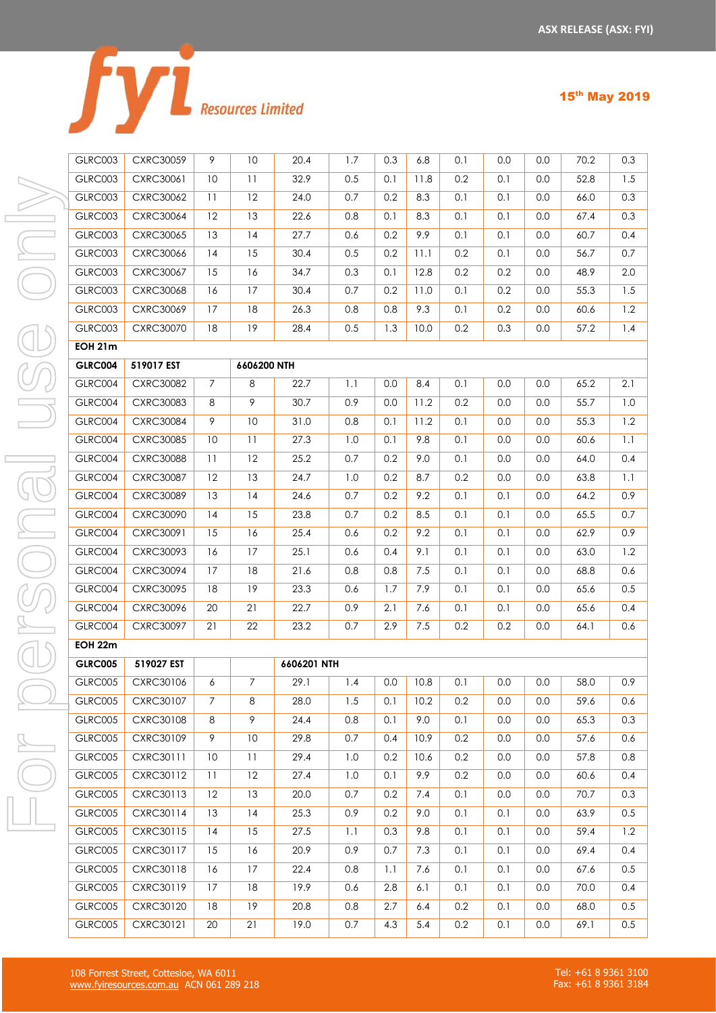|  | <b>Resources Limited</b> |
|--|--------------------------|

|  |  | n<br>- |
|--|--|--------|
|--|--|--------|

| GLRC003        | <b>CXRC30059</b> | 9  | 10   |
|----------------|------------------|----|------|
| GLRC003        | CXRC30061        | 10 | 11   |
| GLRC003        | <b>CXRC30062</b> | 11 | 12   |
| GLRC003        | <b>CXRC30064</b> | 12 | 13   |
| GLRC003        | <b>CXRC30065</b> | 13 | 14   |
| GLRC003        | <b>CXRC30066</b> | 14 | 15   |
| GLRC003        | <b>CXRC30067</b> | 15 | 16   |
| GLRC003        | CXRC30068        | 16 | 17   |
| GLRC003        | <b>CXRC30069</b> | 17 | 18   |
| GLRC003        | <b>CXRC30070</b> | 18 | 19   |
| <b>EOH 21m</b> |                  |    |      |
| <b>GLRC004</b> | 519017 EST       |    | 6606 |
| GLRC004        | <b>CXRC30082</b> | 7  | 8    |
| GLRC004        | <b>CXRC30083</b> | 8  | 9    |
| GLRC004        | <b>CXRC30084</b> | 9  | 10   |
| GLRC004        | <b>CXRC30085</b> | 10 | 11   |
| GLRC004        | <b>CXRC30088</b> | 11 | 12   |
| GLRC004        | <b>CXRC30087</b> | 12 | 13   |
| GLRC004        | <b>CXRC30089</b> | 13 | 14   |
| GLRC004        | <b>CXRC30090</b> | 14 | 15   |
| GLRC004        | CXRC30091        | 15 | 16   |
| GLRC004        | <b>CXRC30093</b> | 16 | 17   |
| GLRC004        | <b>CXRC30094</b> | 17 | 18   |
| GLRC004        | <b>CXRC30095</b> | 18 | 19   |
| GLRC004        | <b>CXRC30096</b> | 20 | 21   |
| GLRC004        | <b>CXRC30097</b> | 21 | 22   |
| <b>EOH 22m</b> |                  |    |      |
| <b>GLRC005</b> | 519027 EST       |    |      |
| GLRC005        | <b>CXRC30106</b> | 6  | 7    |
| <b>GLRC005</b> | CXRC30107        | 7  | 8    |
| <b>GLRC005</b> | CXRC30108        | 8  | 9    |
| GLRC005        | <b>CXRC30109</b> | 9  | 10   |
| GLRC005        | CXRC30111        | 10 | 11   |
| GLRC005        | CXRC30112        | 11 | 12   |
| GLRC005        | CXRC30113        | 12 | 13   |
| GLRC005        | CXRC30114        | 13 | 14   |
| <b>GLRC005</b> | CXRC30115        | 4  | 15   |

| GLRC003        | <b>CXRC30059</b> | 9              | 10             | 20.4        | 1.7 | 0.3 | 6.8     | 0.1 | 0.0 | 0.0 | 70.2 | 0.3     |
|----------------|------------------|----------------|----------------|-------------|-----|-----|---------|-----|-----|-----|------|---------|
| GLRC003        | CXRC30061        | 10             | 11             | 32.9        | 0.5 | 0.1 | 11.8    | 0.2 | 0.1 | 0.0 | 52.8 | 1.5     |
| GLRC003        | <b>CXRC30062</b> | 11             | 12             | 24.0        | 0.7 | 0.2 | 8.3     | 0.1 | 0.1 | 0.0 | 66.0 | 0.3     |
| GLRC003        | <b>CXRC30064</b> | 12             | 13             | 22.6        | 0.8 | 0.1 | 8.3     | 0.1 | 0.1 | 0.0 | 67.4 | 0.3     |
| GLRC003        | <b>CXRC30065</b> | 13             | 4              | 27.7        | 0.6 | 0.2 | 9.9     | 0.1 | 0.1 | 0.0 | 60.7 | 0.4     |
| GLRC003        | CXRC30066        | 14             | 15             | 30.4        | 0.5 | 0.2 | 11.1    | 0.2 | 0.1 | 0.0 | 56.7 | 0.7     |
| GLRC003        | <b>CXRC30067</b> | 15             | 16             | 34.7        | 0.3 | 0.1 | 12.8    | 0.2 | 0.2 | 0.0 | 48.9 | 2.0     |
| GLRC003        | <b>CXRC30068</b> | 16             | 17             | 30.4        | 0.7 | 0.2 | 11.0    | 0.1 | 0.2 | 0.0 | 55.3 | 1.5     |
| GLRC003        | <b>CXRC30069</b> | 17             | 18             | 26.3        | 0.8 | 0.8 | 9.3     | 0.1 | 0.2 | 0.0 | 60.6 | 1.2     |
| GLRC003        | <b>CXRC30070</b> | 18             | 19             | 28.4        | 0.5 | 1.3 | 10.0    | 0.2 | 0.3 | 0.0 | 57.2 | 1.4     |
| <b>EOH 21m</b> |                  |                |                |             |     |     |         |     |     |     |      |         |
| <b>GLRC004</b> | 519017 EST       |                | 6606200 NTH    |             |     |     |         |     |     |     |      |         |
| GLRC004        | <b>CXRC30082</b> | $\overline{7}$ | 8              | 22.7        | 1.1 | 0.0 | 8.4     | 0.1 | 0.0 | 0.0 | 65.2 | 2.1     |
| GLRC004        | CXRC30083        | 8              | 9              | 30.7        | 0.9 | 0.0 | 11.2    | 0.2 | 0.0 | 0.0 | 55.7 | 1.0     |
| GLRC004        | <b>CXRC30084</b> | 9              | $10$           | 31.0        | 0.8 | 0.1 | 11.2    | 0.1 | 0.0 | 0.0 | 55.3 | 1.2     |
| GLRC004        | <b>CXRC30085</b> | 10             | 11             | 27.3        | 1.0 | 0.1 | 9.8     | 0.1 | 0.0 | 0.0 | 60.6 | $1.1\,$ |
| GLRC004        | <b>CXRC30088</b> | 11             | 12             | 25.2        | 0.7 | 0.2 | 9.0     | 0.1 | 0.0 | 0.0 | 64.0 | 0.4     |
| GLRC004        | <b>CXRC30087</b> | 12             | 13             | 24.7        | 1.0 | 0.2 | 8.7     | 0.2 | 0.0 | 0.0 | 63.8 | 1.1     |
| GLRC004        | <b>CXRC30089</b> | 13             | 4              | 24.6        | 0.7 | 0.2 | 9.2     | 0.1 | 0.1 | 0.0 | 64.2 | 0.9     |
| GLRC004        | <b>CXRC30090</b> | 14             | 15             | 23.8        | 0.7 | 0.2 | 8.5     | 0.1 | 0.1 | 0.0 | 65.5 | 0.7     |
| GLRC004        | CXRC30091        | 15             | 16             | 25.4        | 0.6 | 0.2 | 9.2     | 0.1 | 0.1 | 0.0 | 62.9 | 0.9     |
| GLRC004        | CXRC30093        | 16             | 17             | 25.1        | 0.6 | 0.4 | 9.1     | 0.1 | 0.1 | 0.0 | 63.0 | 1.2     |
| GLRC004        | <b>CXRC30094</b> | 17             | 18             | 21.6        | 0.8 | 0.8 | 7.5     | 0.1 | 0.1 | 0.0 | 68.8 | 0.6     |
| GLRC004        | <b>CXRC30095</b> | 18             | 19             | 23.3        | 0.6 | 1.7 | 7.9     | 0.1 | 0.1 | 0.0 | 65.6 | 0.5     |
| GLRC004        | CXRC30096        | $20\,$         | 21             | 22.7        | 0.9 | 2.1 | 7.6     | 0.1 | 0.1 | 0.0 | 65.6 | 0.4     |
| GLRC004        | <b>CXRC30097</b> | 21             | 22             | 23.2        | 0.7 | 2.9 | $7.5\,$ | 0.2 | 0.2 | 0.0 | 64.1 | 0.6     |
| EOH 22m        |                  |                |                |             |     |     |         |     |     |     |      |         |
| <b>GLRC005</b> | 519027 EST       |                |                | 6606201 NTH |     |     |         |     |     |     |      |         |
| GLRC005        | CXRC30106        | 6              | $\overline{7}$ | 29.1        | 1.4 | 0.0 | 10.8    | 0.1 | 0.0 | 0.0 | 58.0 | 0.9     |
| GLRC005        | CXRC30107        | 7              | 8              | 28.0        | 1.5 | 0.1 | 10.2    | 0.2 | 0.0 | 0.0 | 59.6 | 0.6     |
| GLRC005        | CXRC30108        | 8              | 9              | 24.4        | 0.8 | 0.1 | 9.0     | 0.1 | 0.0 | 0.0 | 65.3 | 0.3     |
| <b>GLRC005</b> | CXRC30109        | 9              | 10             | 29.8        | 0.7 | 0.4 | 10.9    | 0.2 | 0.0 | 0.0 | 57.6 | 0.6     |
| GLRC005        | CXRC30111        | 10             | 11             | 29.4        | 1.0 | 0.2 | 10.6    | 0.2 | 0.0 | 0.0 | 57.8 | 0.8     |
| GLRC005        | <b>CXRC30112</b> | 11             | 12             | 27.4        | 1.0 | 0.1 | 9.9     | 0.2 | 0.0 | 0.0 | 60.6 | 0.4     |
| <b>GLRC005</b> | <b>CXRC30113</b> | 12             | 13             | 20.0        | 0.7 | 0.2 | 7.4     | 0.1 | 0.0 | 0.0 | 70.7 | 0.3     |
| <b>GLRC005</b> | CXRC30114        | 13             | 14             | 25.3        | 0.9 | 0.2 | 9.0     | 0.1 | 0.1 | 0.0 | 63.9 | 0.5     |
| GLRC005        | <b>CXRC30115</b> | 14             | 15             | 27.5        | 1.1 | 0.3 | 9.8     | 0.1 | 0.1 | 0.0 | 59.4 | 1.2     |
| <b>GLRC005</b> | CXRC30117        | 15             | 16             | 20.9        | 0.9 | 0.7 | 7.3     | 0.1 | 0.1 | 0.0 | 69.4 | 0.4     |
| GLRC005        | CXRC30118        | 16             | 17             | 22.4        | 0.8 | 1.1 | 7.6     | 0.1 | 0.1 | 0.0 | 67.6 | 0.5     |
| GLRC005        | CXRC30119        | 17             | 18             | 19.9        | 0.6 | 2.8 | 6.1     | 0.1 | 0.1 | 0.0 | 70.0 | 0.4     |
| GLRC005        | CXRC30120        | 18             | 19             | 20.8        | 0.8 | 2.7 | 6.4     | 0.2 | 0.1 | 0.0 | 68.0 | 0.5     |
| GLRC005        | CXRC30121        | 20             | 21             | 19.0        | 0.7 | 4.3 | 5.4     | 0.2 | 0.1 | 0.0 | 69.1 | 0.5     |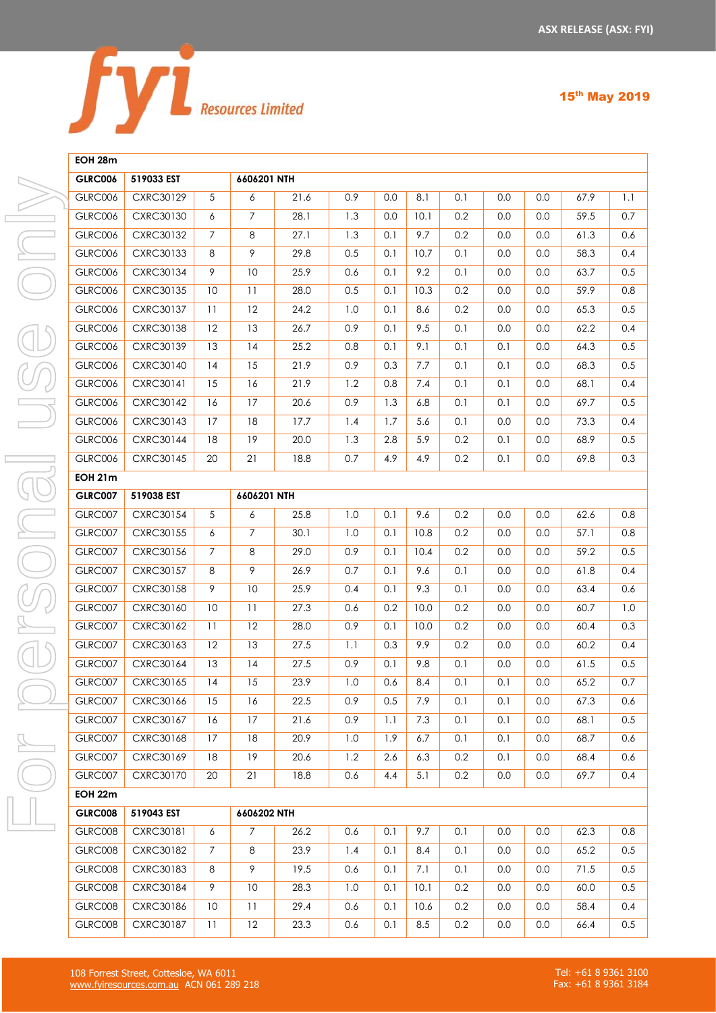

#### **EOH 28m**

| <b>GLRC006</b> | 519033 EST |                | 6606201 NTH     |      |     |     |                  |     |         |         |      |         |
|----------------|------------|----------------|-----------------|------|-----|-----|------------------|-----|---------|---------|------|---------|
| <b>GLRC006</b> | CXRC30129  | 5              | 6               | 21.6 | 0.9 | 0.0 | 8.1              | 0.1 | 0.0     | 0.0     | 67.9 | 1.1     |
| <b>GLRC006</b> | CXRC30130  | 6              | $\overline{7}$  | 28.1 | 1.3 | 0.0 | 10.1             | 0.2 | 0.0     | 0.0     | 59.5 | 0.7     |
| GLRC006        | CXRC30132  | $\overline{7}$ | $\,8\,$         | 27.1 | 1.3 | 0.1 | 9.7              | 0.2 | 0.0     | 0.0     | 61.3 | 0.6     |
| <b>GLRC006</b> | CXRC30133  | 8              | $\overline{9}$  | 29.8 | 0.5 | 0.1 | 10.7             | 0.1 | 0.0     | 0.0     | 58.3 | 0.4     |
| GLRC006        | CXRC30134  | 9              | 10              | 25.9 | 0.6 | 0.1 | 9.2              | 0.1 | 0.0     | 0.0     | 63.7 | 0.5     |
| <b>GLRC006</b> | CXRC30135  | 10             | $\overline{11}$ | 28.0 | 0.5 | 0.1 | 10.3             | 0.2 | 0.0     | 0.0     | 59.9 | 0.8     |
| <b>GLRC006</b> | CXRC30137  | 11             | 12              | 24.2 | 1.0 | 0.1 | 8.6              | 0.2 | 0.0     | 0.0     | 65.3 | 0.5     |
| <b>GLRC006</b> | CXRC30138  | 12             | 13              | 26.7 | 0.9 | 0.1 | 9.5              | 0.1 | 0.0     | 0.0     | 62.2 | 0.4     |
| <b>GLRC006</b> | CXRC30139  | 13             | 14              | 25.2 | 0.8 | 0.1 | 9.1              | 0.1 | 0.1     | 0.0     | 64.3 | 0.5     |
| GLRC006        | CXRC30140  | 14             | 15              | 21.9 | 0.9 | 0.3 | 7.7              | 0.1 | 0.1     | 0.0     | 68.3 | 0.5     |
| <b>GLRC006</b> | CXRC30141  | 15             | 16              | 21.9 | 1.2 | 0.8 | 7.4              | 0.1 | 0.1     | 0.0     | 68.1 | 0.4     |
| <b>GLRC006</b> | CXRC30142  | 16             | 17              | 20.6 | 0.9 | 1.3 | 6.8              | 0.1 | 0.1     | 0.0     | 69.7 | 0.5     |
| <b>GLRC006</b> | CXRC30143  | 17             | 18              | 17.7 | 1.4 | 1.7 | 5.6              | 0.1 | 0.0     | 0.0     | 73.3 | 0.4     |
| <b>GLRC006</b> | CXRC30144  | 18             | 19              | 20.0 | 1.3 | 2.8 | 5.9              | 0.2 | 0.1     | 0.0     | 68.9 | 0.5     |
| GLRC006        | CXRC30145  | 20             | 21              | 18.8 | 0.7 | 4.9 | 4.9              | 0.2 | 0.1     | 0.0     | 69.8 | 0.3     |
| <b>EOH 21m</b> |            |                |                 |      |     |     |                  |     |         |         |      |         |
| <b>GLRC007</b> | 519038 EST |                | 6606201 NTH     |      |     |     |                  |     |         |         |      |         |
| GLRC007        | CXRC30154  | 5              | 6               | 25.8 | 1.0 | 0.1 | 9.6              | 0.2 | 0.0     | 0.0     | 62.6 | 0.8     |
| GLRC007        | CXRC30155  | 6              | $\overline{7}$  | 30.1 | 1.0 | 0.1 | 10.8             | 0.2 | 0.0     | 0.0     | 57.1 | 0.8     |
| GLRC007        | CXRC30156  | $\overline{7}$ | $\,8\,$         | 29.0 | 0.9 | 0.1 | 10.4             | 0.2 | 0.0     | 0.0     | 59.2 | 0.5     |
| GLRC007        | CXRC30157  | 8              | 9               | 26.9 | 0.7 | 0.1 | 9.6              | 0.1 | 0.0     | 0.0     | 61.8 | 0.4     |
| GLRC007        | CXRC30158  | 9              | 10              | 25.9 | 0.4 | 0.1 | 9.3              | 0.1 | 0.0     | 0.0     | 63.4 | 0.6     |
| GLRC007        | CXRC30160  | 10             | 11              | 27.3 | 0.6 | 0.2 | 10.0             | 0.2 | 0.0     | 0.0     | 60.7 | 1.0     |
| GLRC007        | CXRC30162  | 11             | 12              | 28.0 | 0.9 | 0.1 | 10.0             | 0.2 | 0.0     | 0.0     | 60.4 | 0.3     |
| GLRC007        | CXRC30163  | 12             | 13              | 27.5 | 1.1 | 0.3 | 9.9              | 0.2 | 0.0     | 0.0     | 60.2 | 0.4     |
| GLRC007        | CXRC30164  | 13             | 4               | 27.5 | 0.9 | 0.1 | 9.8              | 0.1 | 0.0     | 0.0     | 61.5 | 0.5     |
| GLRC007        | CXRC30165  | 14             | 15              | 23.9 | 1.0 | 0.6 | 8.4              | 0.1 | 0.1     | 0.0     | 65.2 | 0.7     |
| GLRC007        | CXRC30166  | 15             | 16              | 22.5 | 0.9 | 0.5 | 7.9              | 0.1 | 0.1     | 0.0     | 67.3 | 0.6     |
| GLRC007        | CXRC30167  | 16             | 17              | 21.6 | 0.9 | 1.1 | 7.3              | 0.1 | 0.1     | 0.0     | 68.1 | 0.5     |
| GLRC007        | CXRC30168  | 17             | 18              | 20.9 | 1.0 | 1.9 | 6.7              | 0.1 | 0.1     | 0.0     | 68.7 | 0.6     |
| GLRC007        | CXRC30169  | 18             | 19              | 20.6 | 1.2 | 2.6 | 6.3              | 0.2 | 0.1     | 0.0     | 68.4 | 0.6     |
| GLRC007        | CXRC30170  | 20             | 21              | 18.8 | 0.6 | 4.4 | 5.1              | 0.2 | 0.0     | 0.0     | 69.7 | 0.4     |
| <b>EOH 22m</b> |            |                |                 |      |     |     |                  |     |         |         |      |         |
| <b>GLRC008</b> | 519043 EST |                | 6606202 NTH     |      |     |     |                  |     |         |         |      |         |
| GLRC008        | CXRC30181  | 6              | $\overline{7}$  | 26.2 | 0.6 | 0.1 | 9.7              | 0.1 | 0.0     | 0.0     | 62.3 | 0.8     |
| GLRC008        | CXRC30182  | $\overline{7}$ | 8               | 23.9 | 1.4 | 0.1 | 8.4              | 0.1 | 0.0     | 0.0     | 65.2 | 0.5     |
| GLRC008        | CXRC30183  | 8              | $\overline{9}$  | 19.5 | 0.6 | 0.1 | $\overline{7.1}$ | 0.1 | 0.0     | 0.0     | 71.5 | 0.5     |
| GLRC008        | CXRC30184  | 9              | $10\,$          | 28.3 | 1.0 | 0.1 | 10.1             | 0.2 | 0.0     | 0.0     | 60.0 | 0.5     |
| GLRC008        | CXRC30186  | 10             | 11              | 29.4 | 0.6 | 0.1 | 10.6             | 0.2 | 0.0     | 0.0     | 58.4 | 0.4     |
| GLRC008        | CXRC30187  | $11\,$         | $\overline{12}$ | 23.3 | 0.6 | 0.1 | $8.5\,$          | 0.2 | $0.0\,$ | $0.0\,$ | 66.4 | $0.5\,$ |

For personal use onlySe only r personal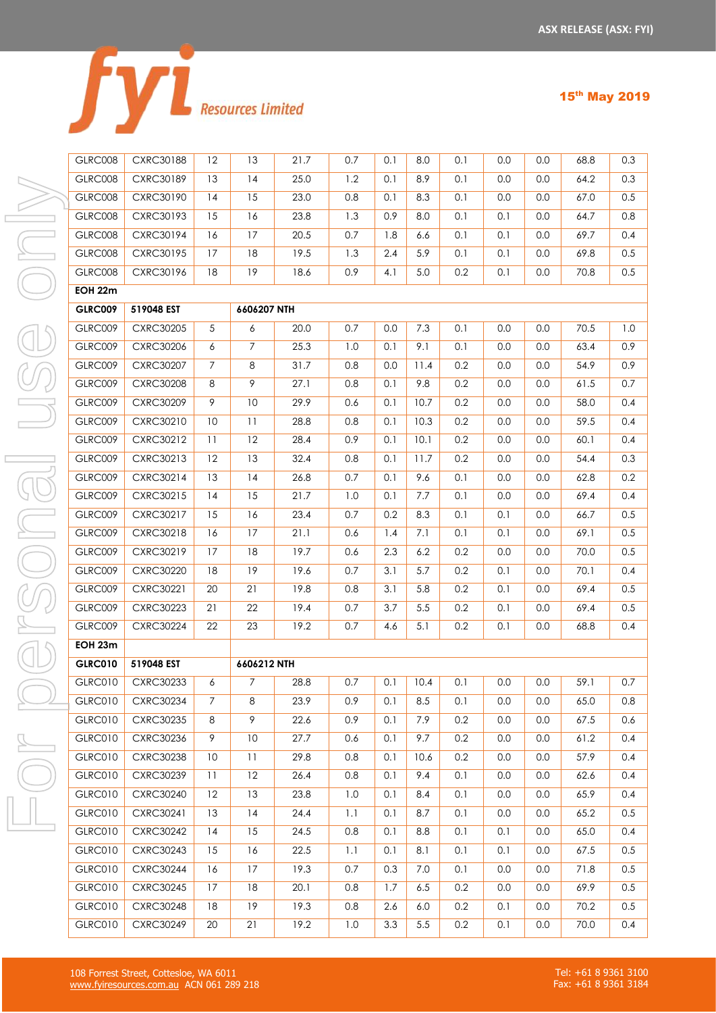|  | <b>Resources Limited</b> |  |
|--|--------------------------|--|

|  |  | æ. |
|--|--|----|
|--|--|----|

| GLRC008        | <b>CXRC30188</b> | 12 | 13          |  |
|----------------|------------------|----|-------------|--|
| GLRC008        | CXRC30189        | 13 | 14          |  |
| GLRC008        | CXRC30190        | 14 | 15          |  |
| GLRC008        | <b>CXRC30193</b> | 15 | 16          |  |
| GLRC008        | <b>CXRC30194</b> | 16 | 17          |  |
| GLRC008        | CXRC30195        | 17 | 18          |  |
| GLRC008        | CXRC30196        | 18 | 19          |  |
| <b>EOH 22m</b> |                  |    |             |  |
| <b>GLRC009</b> | 519048 EST       |    | 6606207 NTH |  |
| GLRC009        | <b>CXRC30205</b> | 5  | 6           |  |
| GLRC009        | <b>CXRC30206</b> | 6  | 7           |  |
| GLRC009        | <b>CXRC30207</b> | 7  | 8           |  |
| GLRC009        | <b>CXRC30208</b> | 8  | 9           |  |
| GLRC009        | <b>CXRC30209</b> | 9  | 10          |  |
| GLRC009        | CXRC30210        | 10 | 11          |  |
| GLRC009        | <b>CXRC30212</b> | 11 | 12          |  |
| GLRC009        | CXRC30213        | 12 | 13          |  |
| GLRC009        | CXRC30214        | 13 | 14          |  |
| GLRC009        | CXRC30215        | 14 | 15          |  |
| GLRC009        | CXRC30217        | 15 | 16          |  |
| GLRC009        | <b>CXRC30218</b> | 16 | 17          |  |
| GLRC009        | <b>CXRC30219</b> | 17 | 18          |  |
| GLRC009        | <b>CXRC30220</b> | 18 | 19          |  |
| GLRC009        | CXRC30221        | 20 | 21          |  |
| GLRC009        | CXRC30223        | 21 | 22          |  |
| GLRC009        | <b>CXRC30224</b> | 22 | 23          |  |
| EOH 23m        |                  |    |             |  |
| <b>GLRC010</b> | 519048 EST       |    | 6606212 NTH |  |
| <b>GLRC010</b> | CXRC30233        | 6  | 7           |  |
| <b>GLRC010</b> | CXRC30234        | 7  | 8           |  |
| GLRC010        | <b>CXRC30235</b> | 8  | 9           |  |
| <b>GLRC010</b> | <b>CXRC30236</b> | 9  | 10          |  |
| GLRC010        | <b>CXRC30238</b> | 10 | 11          |  |
| GLRC010        | <b>CXRC30239</b> | 11 | 12          |  |
| GLRC010        | <b>CXRC30240</b> | 12 | 13          |  |
| GLRC010        | CXRC30241        | 13 | 14          |  |
| GLRC010        | <b>CXRC30242</b> | 14 | 15          |  |
| GLRC010        | <b>CXRC30243</b> | 15 | 16          |  |

| GLRC008        | <b>CXRC30188</b> | 12             | 13             | 21.7 | 0.7 | 0.1 | 8.0     | 0.1 | 0.0     | 0.0 | 68.8 | 0.3 |
|----------------|------------------|----------------|----------------|------|-----|-----|---------|-----|---------|-----|------|-----|
| GLRC008        | <b>CXRC30189</b> | 13             | 14             | 25.0 | 1.2 | 0.1 | 8.9     | 0.1 | 0.0     | 0.0 | 64.2 | 0.3 |
| GLRC008        | CXRC30190        | 14             | 15             | 23.0 | 0.8 | 0.1 | 8.3     | 0.1 | 0.0     | 0.0 | 67.0 | 0.5 |
| GLRC008        | CXRC30193        | 15             | 16             | 23.8 | 1.3 | 0.9 | 8.0     | 0.1 | 0.1     | 0.0 | 64.7 | 0.8 |
| GLRC008        | CXRC30194        | 16             | 17             | 20.5 | 0.7 | 1.8 | 6.6     | 0.1 | 0.1     | 0.0 | 69.7 | 0.4 |
| GLRC008        | CXRC30195        | 17             | 18             | 19.5 | 1.3 | 2.4 | 5.9     | 0.1 | 0.1     | 0.0 | 69.8 | 0.5 |
| GLRC008        | CXRC30196        | 18             | 19             | 18.6 | 0.9 | 4.1 | 5.0     | 0.2 | 0.1     | 0.0 | 70.8 | 0.5 |
| EOH 22m        |                  |                |                |      |     |     |         |     |         |     |      |     |
| <b>GLRC009</b> | 519048 EST       |                | 6606207 NTH    |      |     |     |         |     |         |     |      |     |
| <b>GLRC009</b> | <b>CXRC30205</b> | $\sqrt{5}$     | 6              | 20.0 | 0.7 | 0.0 | 7.3     | 0.1 | 0.0     | 0.0 | 70.5 | 1.0 |
| <b>GLRC009</b> | CXRC30206        | 6              | $\overline{7}$ | 25.3 | 1.0 | 0.1 | 9.1     | 0.1 | 0.0     | 0.0 | 63.4 | 0.9 |
| <b>GLRC009</b> | <b>CXRC30207</b> | $\overline{7}$ | 8              | 31.7 | 0.8 | 0.0 | 11.4    | 0.2 | 0.0     | 0.0 | 54.9 | 0.9 |
| GLRC009        | <b>CXRC30208</b> | 8              | 9              | 27.1 | 0.8 | 0.1 | 9.8     | 0.2 | 0.0     | 0.0 | 61.5 | 0.7 |
| GLRC009        | <b>CXRC30209</b> | 9              | 10             | 29.9 | 0.6 | 0.1 | 10.7    | 0.2 | 0.0     | 0.0 | 58.0 | 0.4 |
| <b>GLRC009</b> | CXRC30210        | 10             | 11             | 28.8 | 0.8 | 0.1 | 10.3    | 0.2 | 0.0     | 0.0 | 59.5 | 0.4 |
| <b>GLRC009</b> | CXRC30212        | 11             | 12             | 28.4 | 0.9 | 0.1 | 10.1    | 0.2 | 0.0     | 0.0 | 60.1 | 0.4 |
| <b>GLRC009</b> | CXRC30213        | 12             | 13             | 32.4 | 0.8 | 0.1 | 11.7    | 0.2 | 0.0     | 0.0 | 54.4 | 0.3 |
| <b>GLRC009</b> | CXRC30214        | 13             | 14             | 26.8 | 0.7 | 0.1 | 9.6     | 0.1 | 0.0     | 0.0 | 62.8 | 0.2 |
| GLRC009        | CXRC30215        | 14             | 15             | 21.7 | 1.0 | 0.1 | 7.7     | 0.1 | 0.0     | 0.0 | 69.4 | 0.4 |
| <b>GLRC009</b> | CXRC30217        | 15             | 16             | 23.4 | 0.7 | 0.2 | 8.3     | 0.1 | 0.1     | 0.0 | 66.7 | 0.5 |
| <b>GLRC009</b> | <b>CXRC30218</b> | 16             | 17             | 21.1 | 0.6 | 1.4 | 7.1     | 0.1 | 0.1     | 0.0 | 69.1 | 0.5 |
| <b>GLRC009</b> | CXRC30219        | 17             | $18\,$         | 19.7 | 0.6 | 2.3 | 6.2     | 0.2 | 0.0     | 0.0 | 70.0 | 0.5 |
| <b>GLRC009</b> | <b>CXRC30220</b> | 18             | 19             | 19.6 | 0.7 | 3.1 | 5.7     | 0.2 | 0.1     | 0.0 | 70.1 | 0.4 |
| <b>GLRC009</b> | CXRC30221        | 20             | 21             | 19.8 | 0.8 | 3.1 | 5.8     | 0.2 | 0.1     | 0.0 | 69.4 | 0.5 |
| <b>GLRC009</b> | <b>CXRC30223</b> | 21             | 22             | 19.4 | 0.7 | 3.7 | 5.5     | 0.2 | 0.1     | 0.0 | 69.4 | 0.5 |
| <b>GLRC009</b> | <b>CXRC30224</b> | 22             | 23             | 19.2 | 0.7 | 4.6 | 5.1     | 0.2 | 0.1     | 0.0 | 68.8 | 0.4 |
| EOH 23m        |                  |                |                |      |     |     |         |     |         |     |      |     |
| <b>GLRC010</b> | 519048 EST       |                | 6606212 NTH    |      |     |     |         |     |         |     |      |     |
| <b>GLRC010</b> | CXRC30233        | 6              | $\overline{7}$ | 28.8 | 0.7 | 0.1 | 10.4    | 0.1 | 0.0     | 0.0 | 59.1 | 0.7 |
| <b>GLRC010</b> | <b>CXRC30234</b> | 7              | 8              | 23.9 | 0.9 | 0.1 | 8.5     | 0.1 | 0.0     | 0.0 | 65.0 | 0.8 |
| <b>GLRC010</b> | CXRC30235        | 8              | 9              | 22.6 | 0.9 | 0.1 | 7.9     | 0.2 | 0.0     | 0.0 | 67.5 | 0.6 |
| <b>GLRC010</b> | CXRC30236        | 9              | 10             | 27.7 | 0.6 | 0.1 | 9.7     | 0.2 | 0.0     | 0.0 | 61.2 | 0.4 |
| <b>GLRC010</b> | <b>CXRC30238</b> | 10             | 11             | 29.8 | 0.8 | 0.1 | 10.6    | 0.2 | 0.0     | 0.0 | 57.9 | 0.4 |
| <b>GLRC010</b> | <b>CXRC30239</b> | 11             | 12             | 26.4 | 0.8 | 0.1 | 9.4     | 0.1 | 0.0     | 0.0 | 62.6 | 0.4 |
| <b>GLRC010</b> | <b>CXRC30240</b> | 12             | 13             | 23.8 | 1.0 | 0.1 | 8.4     | 0.1 | 0.0     | 0.0 | 65.9 | 0.4 |
| <b>GLRC010</b> | CXRC30241        | 13             | 14             | 24.4 | 1.1 | 0.1 | 8.7     | 0.1 | 0.0     | 0.0 | 65.2 | 0.5 |
| <b>GLRC010</b> | <b>CXRC30242</b> | 14             | 15             | 24.5 | 0.8 | 0.1 | 8.8     | 0.1 | 0.1     | 0.0 | 65.0 | 0.4 |
| <b>GLRC010</b> | <b>CXRC30243</b> | 15             | 16             | 22.5 | 1.1 | 0.1 | 8.1     | 0.1 | 0.1     | 0.0 | 67.5 | 0.5 |
| <b>GLRC010</b> | <b>CXRC30244</b> | 16             | 17             | 19.3 | 0.7 | 0.3 | 7.0     | 0.1 | 0.0     | 0.0 | 71.8 | 0.5 |
| <b>GLRC010</b> | <b>CXRC30245</b> | 17             | 18             | 20.1 | 0.8 | 1.7 | 6.5     | 0.2 | 0.0     | 0.0 | 69.9 | 0.5 |
| <b>GLRC010</b> | <b>CXRC30248</b> | 18             | 19             | 19.3 | 0.8 | 2.6 | 6.0     | 0.2 | 0.1     | 0.0 | 70.2 | 0.5 |
| <b>GLRC010</b> | <b>CXRC30249</b> | 20             | 21             | 19.2 | 1.0 | 3.3 | $5.5\,$ | 0.2 | $0.1\,$ | 0.0 | 70.0 | 0.4 |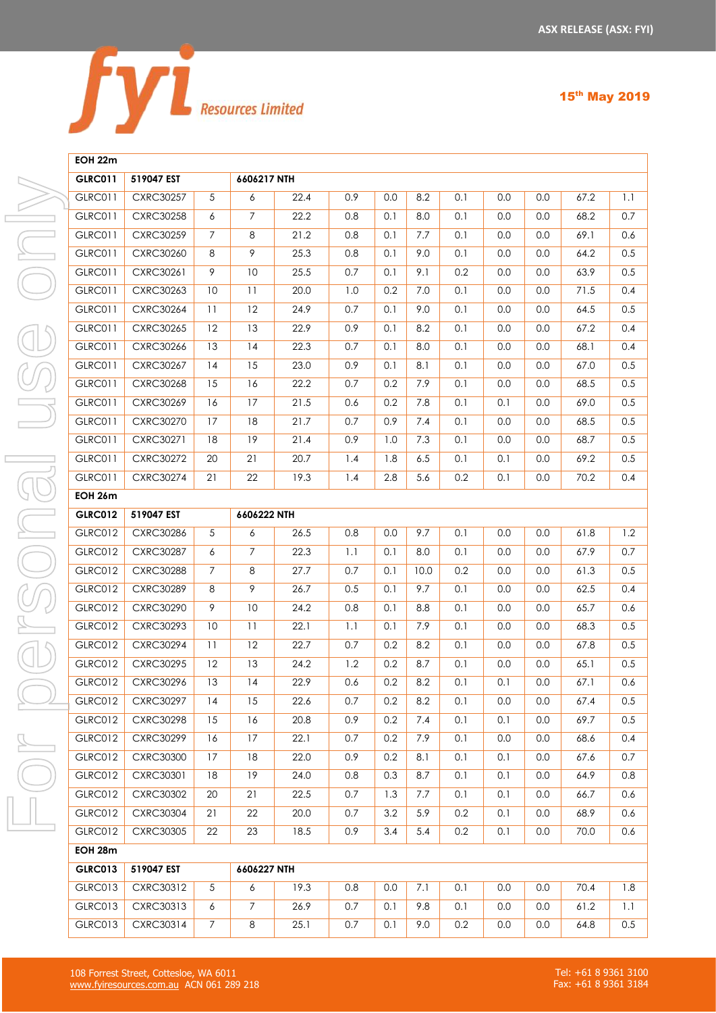

### **EOH 22m**

| <b>GLRC011</b> | 519047 EST       |                | 6606217 NTH    |      |     |     |      |     |         |         |      |     |
|----------------|------------------|----------------|----------------|------|-----|-----|------|-----|---------|---------|------|-----|
| GLRC011        | <b>CXRC30257</b> | 5              | 6              | 22.4 | 0.9 | 0.0 | 8.2  | 0.1 | 0.0     | 0.0     | 67.2 | 1.1 |
| <b>GLRC011</b> | <b>CXRC30258</b> | 6              | $\overline{7}$ | 22.2 | 0.8 | 0.1 | 8.0  | 0.1 | 0.0     | 0.0     | 68.2 | 0.7 |
| <b>GLRC011</b> | <b>CXRC30259</b> | $\overline{7}$ | 8              | 21.2 | 0.8 | 0.1 | 7.7  | 0.1 | 0.0     | 0.0     | 69.1 | 0.6 |
| <b>GLRC011</b> | <b>CXRC30260</b> | 8              | 9              | 25.3 | 0.8 | 0.1 | 9.0  | 0.1 | 0.0     | 0.0     | 64.2 | 0.5 |
| GLRC011        | CXRC30261        | 9              | 10             | 25.5 | 0.7 | 0.1 | 9.1  | 0.2 | 0.0     | 0.0     | 63.9 | 0.5 |
| <b>GLRC011</b> | CXRC30263        | 10             | 11             | 20.0 | 1.0 | 0.2 | 7.0  | 0.1 | 0.0     | 0.0     | 71.5 | 0.4 |
| <b>GLRC011</b> | <b>CXRC30264</b> | 11             | 12             | 24.9 | 0.7 | 0.1 | 9.0  | 0.1 | 0.0     | 0.0     | 64.5 | 0.5 |
| GLRC011        | <b>CXRC30265</b> | 12             | 13             | 22.9 | 0.9 | 0.1 | 8.2  | 0.1 | 0.0     | 0.0     | 67.2 | 0.4 |
| <b>GLRC011</b> | CXRC30266        | 13             | 14             | 22.3 | 0.7 | 0.1 | 8.0  | 0.1 | 0.0     | 0.0     | 68.1 | 0.4 |
| GLRC011        | <b>CXRC30267</b> | 14             | 15             | 23.0 | 0.9 | 0.1 | 8.1  | 0.1 | 0.0     | 0.0     | 67.0 | 0.5 |
| <b>GLRC011</b> | <b>CXRC30268</b> | 15             | 16             | 22.2 | 0.7 | 0.2 | 7.9  | 0.1 | 0.0     | 0.0     | 68.5 | 0.5 |
| <b>GLRC011</b> | <b>CXRC30269</b> | 16             | 17             | 21.5 | 0.6 | 0.2 | 7.8  | 0.1 | 0.1     | 0.0     | 69.0 | 0.5 |
| <b>GLRC011</b> | <b>CXRC30270</b> | 17             | $18\,$         | 21.7 | 0.7 | 0.9 | 7.4  | 0.1 | 0.0     | 0.0     | 68.5 | 0.5 |
| <b>GLRC011</b> | CXRC30271        | 18             | 19             | 21.4 | 0.9 | 1.0 | 7.3  | 0.1 | 0.0     | 0.0     | 68.7 | 0.5 |
| GLRC011        | <b>CXRC30272</b> | 20             | 21             | 20.7 | 1.4 | 1.8 | 6.5  | 0.1 | 0.1     | 0.0     | 69.2 | 0.5 |
| <b>GLRC011</b> | <b>CXRC30274</b> | 21             | 22             | 19.3 | 1.4 | 2.8 | 5.6  | 0.2 | 0.1     | 0.0     | 70.2 | 0.4 |
| <b>EOH 26m</b> |                  |                |                |      |     |     |      |     |         |         |      |     |
| <b>GLRC012</b> | 519047 EST       |                | 6606222 NTH    |      |     |     |      |     |         |         |      |     |
| <b>GLRC012</b> | CXRC30286        | 5              | 6              | 26.5 | 0.8 | 0.0 | 9.7  | 0.1 | 0.0     | 0.0     | 61.8 | 1.2 |
| <b>GLRC012</b> | <b>CXRC30287</b> | 6              | $\overline{7}$ | 22.3 | 1.1 | 0.1 | 8.0  | 0.1 | 0.0     | 0.0     | 67.9 | 0.7 |
| <b>GLRC012</b> | <b>CXRC30288</b> | $\overline{7}$ | 8              | 27.7 | 0.7 | 0.1 | 10.0 | 0.2 | 0.0     | 0.0     | 61.3 | 0.5 |
| GLRC012        | <b>CXRC30289</b> | 8              | 9              | 26.7 | 0.5 | 0.1 | 9.7  | 0.1 | 0.0     | 0.0     | 62.5 | 0.4 |
| <b>GLRC012</b> | <b>CXRC30290</b> | 9              | $10\,$         | 24.2 | 0.8 | 0.1 | 8.8  | 0.1 | 0.0     | 0.0     | 65.7 | 0.6 |
| GLRC012        | CXRC30293        | 10             | 11             | 22.1 | 1.1 | 0.1 | 7.9  | 0.1 | 0.0     | 0.0     | 68.3 | 0.5 |
| <b>GLRC012</b> | <b>CXRC30294</b> | 11             | 12             | 22.7 | 0.7 | 0.2 | 8.2  | 0.1 | 0.0     | 0.0     | 67.8 | 0.5 |
| <b>GLRC012</b> | <b>CXRC30295</b> | 12             | 13             | 24.2 | 1.2 | 0.2 | 8.7  | 0.1 | $0.0\,$ | 0.0     | 65.1 | 0.5 |
| <b>GLRC012</b> | CXRC30296        | 13             | 4              | 22.9 | 0.6 | 0.2 | 8.2  | 0.1 | 0.1     | 0.0     | 67.1 | 0.6 |
| <b>GLRC012</b> | <b>CXRC30297</b> | 14             | 15             | 22.6 | 0.7 | 0.2 | 8.2  | 0.1 | 0.0     | 0.0     | 67.4 | 0.5 |
| <b>GLRC012</b> | <b>CXRC30298</b> | 15             | 16             | 20.8 | 0.9 | 0.2 | 7.4  | 0.1 | 0.1     | $0.0\,$ | 69.7 | 0.5 |
| <b>GLRC012</b> | <b>CXRC30299</b> | 16             | 17             | 22.1 | 0.7 | 0.2 | 7.9  | 0.1 | 0.0     | 0.0     | 68.6 | 0.4 |
| GLRC012        | <b>CXRC30300</b> | 17             | 18             | 22.0 | 0.9 | 0.2 | 8.1  | 0.1 | 0.1     | 0.0     | 67.6 | 0.7 |
| <b>GLRC012</b> | CXRC30301        | 18             | 19             | 24.0 | 0.8 | 0.3 | 8.7  | 0.1 | 0.1     | 0.0     | 64.9 | 0.8 |
| <b>GLRC012</b> | <b>CXRC30302</b> | 20             | 21             | 22.5 | 0.7 | 1.3 | 7.7  | 0.1 | 0.1     | 0.0     | 66.7 | 0.6 |
| <b>GLRC012</b> | <b>CXRC30304</b> | 21             | 22             | 20.0 | 0.7 | 3.2 | 5.9  | 0.2 | 0.1     | 0.0     | 68.9 | 0.6 |
| <b>GLRC012</b> | <b>CXRC30305</b> | 22             | 23             | 18.5 | 0.9 | 3.4 | 5.4  | 0.2 | 0.1     | 0.0     | 70.0 | 0.6 |
| EOH 28m        |                  |                |                |      |     |     |      |     |         |         |      |     |
| <b>GLRC013</b> | 519047 EST       |                | 6606227 NTH    |      |     |     |      |     |         |         |      |     |
| GLRC013        | CXRC30312        | 5              | 6              | 19.3 | 0.8 | 0.0 | 7.1  | 0.1 | $0.0\,$ | $0.0\,$ | 70.4 | 1.8 |
| GLRC013        | CXRC30313        | 6              | $\overline{7}$ | 26.9 | 0.7 | 0.1 | 9.8  | 0.1 | 0.0     | 0.0     | 61.2 | 1.1 |
| GLRC013        | CXRC30314        | $\overline{7}$ | 8              | 25.1 | 0.7 | 0.1 | 9.0  | 0.2 | 0.0     | 0.0     | 64.8 | 0.5 |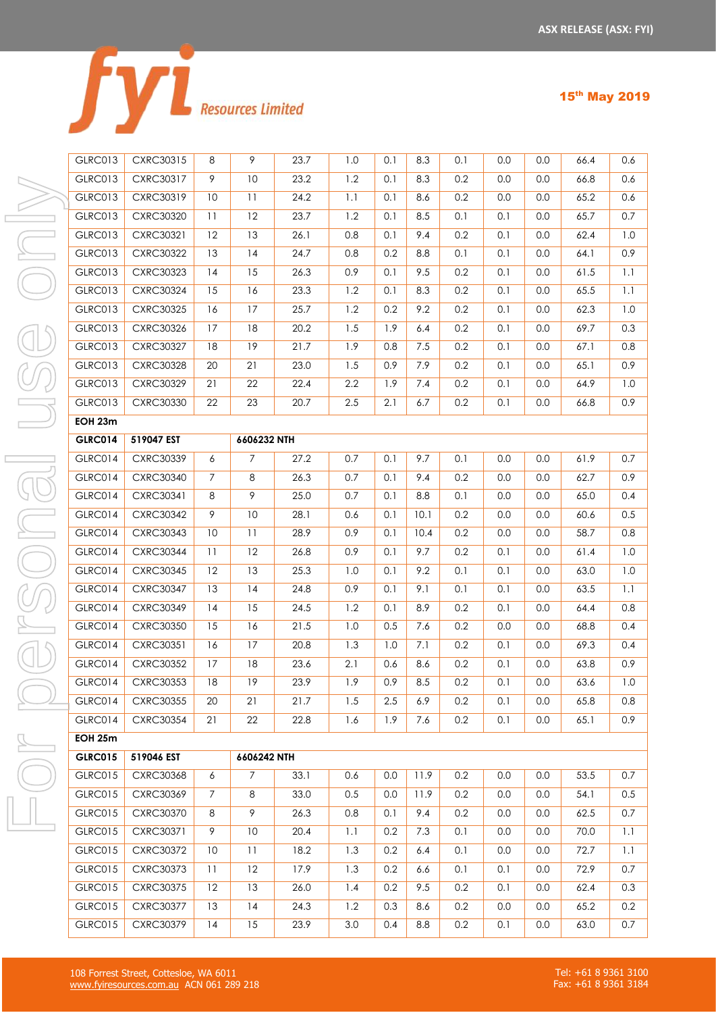|  | <b>Resources Limited</b> |
|--|--------------------------|

| GLRC013                          | CXRC30315                     | 8                        |
|----------------------------------|-------------------------------|--------------------------|
| GLRC013                          | CXRC30317                     | 9                        |
| GLRC013                          | CXRC30319                     | $\overline{\phantom{a}}$ |
| GLRC013                          | <b>CXRC30320</b>              | $\mathbf{I}$             |
| GLRC013                          | CXRC30321                     | 11                       |
| GLRC013                          | <b>CXRC30322</b>              | $\overline{\mathbb{R}}$  |
| GLRC013                          | <b>CXRC30323</b>              | د 1                      |
| GLRC013                          | <b>CXRC30324</b>              | 15                       |
| GLRC013                          | <b>CXRC30325</b>              | $\mathbf{1}$             |
| GLRC013                          | <b>CXRC30326</b>              | 17                       |
| GLRC013                          | <b>CXRC30327</b>              | 18                       |
| GLRC013                          | <b>CXRC30328</b>              | 2 <sup>0</sup>           |
| GLRC013                          | <b>CXRC30329</b>              | $2^{\circ}$              |
| GLRC013                          | <b>CXRC30330</b>              | 21                       |
| EOH 23m                          |                               |                          |
| <b>GLRC014</b>                   | 519047 EST                    |                          |
| GLRC014                          | <b>CXRC30339</b>              | 6                        |
| GLRC014                          | <b>CXRC30340</b>              | $\overline{7}$           |
| GLRC014                          | CXRC30341                     | 8                        |
| GLRC014                          | <b>CXRC30342</b>              | 9                        |
| GLRC014                          | <b>CXRC30343</b>              | $\overline{\phantom{a}}$ |
| GLRC014                          | <b>CXRC30344</b>              | $\mathbf{1}$             |
| GLRC014                          | CXRC30345                     | $\overline{1}$           |
| GLRC014                          | <b>CXRC30347</b>              | $\overline{\mathcal{L}}$ |
| GLRC014                          | <b>CXRC30349</b>              | $\mathsf{L}$             |
| GLRC014                          | <b>CXRC30350</b>              | 15                       |
| GLRC014                          | <b>CXRC30351</b>              | $\mathbf{1}$             |
| GLRC014                          | <b>CXRC30352</b>              | 17                       |
| GLRC014                          | <b>CXRC30353</b>              | 18                       |
| GLRC014                          | <b>CXRC30355</b>              | 2(                       |
| GLRC014                          | <b>CXRC30354</b>              | 2.                       |
| <b>EOH 25m</b>                   |                               |                          |
| <b>GLRC015</b>                   | 519046 EST                    |                          |
|                                  |                               |                          |
| <b>GLRC015</b>                   | <b>CXRC30368</b>              | 6                        |
| <b>GLRC015</b>                   | CXRC30369                     | 7                        |
| <b>GLRC015</b><br><b>GLRC015</b> | <b>CXRC30370</b><br>CXRC30371 | 8<br>9                   |

| <b>GLRC013</b> | CXRC30315        | 8              | 9               | 23.7 | 1.0 | 0.1 | 8.3  | 0.1 | 0.0     | 0.0     | 66.4 | 0.6     |
|----------------|------------------|----------------|-----------------|------|-----|-----|------|-----|---------|---------|------|---------|
| <b>GLRC013</b> | <b>CXRC30317</b> | $\overline{9}$ | 10              | 23.2 | 1.2 | 0.1 | 8.3  | 0.2 | 0.0     | 0.0     | 66.8 | 0.6     |
| <b>GLRC013</b> | CXRC30319        | 10             | 11              | 24.2 | 1.1 | 0.1 | 8.6  | 0.2 | 0.0     | 0.0     | 65.2 | 0.6     |
| <b>GLRC013</b> | <b>CXRC30320</b> | 11             | 12              | 23.7 | 1.2 | 0.1 | 8.5  | 0.1 | 0.1     | 0.0     | 65.7 | 0.7     |
| <b>GLRC013</b> | CXRC30321        | 12             | 13              | 26.1 | 0.8 | 0.1 | 9.4  | 0.2 | 0.1     | 0.0     | 62.4 | 1.0     |
| <b>GLRC013</b> | <b>CXRC30322</b> | 13             | 14              | 24.7 | 0.8 | 0.2 | 8.8  | 0.1 | 0.1     | 0.0     | 64.1 | 0.9     |
| <b>GLRC013</b> | <b>CXRC30323</b> | 14             | 15              | 26.3 | 0.9 | 0.1 | 9.5  | 0.2 | 0.1     | 0.0     | 61.5 | $1.1\,$ |
| <b>GLRC013</b> | <b>CXRC30324</b> | 15             | 16              | 23.3 | 1.2 | 0.1 | 8.3  | 0.2 | 0.1     | 0.0     | 65.5 | 1.1     |
| <b>GLRC013</b> | <b>CXRC30325</b> | 16             | 17              | 25.7 | 1.2 | 0.2 | 9.2  | 0.2 | 0.1     | 0.0     | 62.3 | 1.0     |
| <b>GLRC013</b> | CXRC30326        | 17             | 18              | 20.2 | 1.5 | 1.9 | 6.4  | 0.2 | 0.1     | 0.0     | 69.7 | 0.3     |
| <b>GLRC013</b> | <b>CXRC30327</b> | 18             | 19              | 21.7 | 1.9 | 0.8 | 7.5  | 0.2 | 0.1     | 0.0     | 67.1 | 0.8     |
| <b>GLRC013</b> | <b>CXRC30328</b> | 20             | 21              | 23.0 | 1.5 | 0.9 | 7.9  | 0.2 | 0.1     | 0.0     | 65.1 | 0.9     |
| <b>GLRC013</b> | <b>CXRC30329</b> | 21             | 22              | 22.4 | 2.2 | 1.9 | 7.4  | 0.2 | 0.1     | 0.0     | 64.9 | 1.0     |
| GLRC013        | <b>CXRC30330</b> | 22             | 23              | 20.7 | 2.5 | 2.1 | 6.7  | 0.2 | 0.1     | 0.0     | 66.8 | 0.9     |
| EOH 23m        |                  |                |                 |      |     |     |      |     |         |         |      |         |
| <b>GLRC014</b> | 519047 EST       |                | 6606232 NTH     |      |     |     |      |     |         |         |      |         |
| GLRC014        | <b>CXRC30339</b> | 6              | $\overline{7}$  | 27.2 | 0.7 | 0.1 | 9.7  | 0.1 | 0.0     | 0.0     | 61.9 | 0.7     |
| GLRC014        | <b>CXRC30340</b> | $7^{\circ}$    | 8               | 26.3 | 0.7 | 0.1 | 9.4  | 0.2 | 0.0     | 0.0     | 62.7 | 0.9     |
| <b>GLRC014</b> | CXRC30341        | 8              | 9               | 25.0 | 0.7 | 0.1 | 8.8  | 0.1 | 0.0     | 0.0     | 65.0 | 0.4     |
| <b>GLRC014</b> | <b>CXRC30342</b> | 9              | 10              | 28.1 | 0.6 | 0.1 | 10.1 | 0.2 | 0.0     | 0.0     | 60.6 | 0.5     |
| <b>GLRC014</b> | <b>CXRC30343</b> | 10             | 11              | 28.9 | 0.9 | 0.1 | 10.4 | 0.2 | 0.0     | 0.0     | 58.7 | 0.8     |
| <b>GLRC014</b> | <b>CXRC30344</b> | 11             | 12              | 26.8 | 0.9 | 0.1 | 9.7  | 0.2 | 0.1     | 0.0     | 61.4 | 1.0     |
| <b>GLRC014</b> | CXRC30345        | 12             | 13              | 25.3 | 1.0 | 0.1 | 9.2  | 0.1 | 0.1     | 0.0     | 63.0 | 1.0     |
| <b>GLRC014</b> | <b>CXRC30347</b> | 13             | 14              | 24.8 | 0.9 | 0.1 | 9.1  | 0.1 | 0.1     | 0.0     | 63.5 | 1.1     |
| <b>GLRC014</b> | <b>CXRC30349</b> | 14             | 15              | 24.5 | 1.2 | 0.1 | 8.9  | 0.2 | 0.1     | 0.0     | 64.4 | 0.8     |
| GLRC014        | CXRC30350        | 15             | 16              | 21.5 | 1.0 | 0.5 | 7.6  | 0.2 | $0.0\,$ | 0.0     | 68.8 | 0.4     |
| <b>GLRC014</b> | <b>CXRC30351</b> | 16             | 17              | 20.8 | 1.3 | 1.0 | 7.1  | 0.2 | 0.1     | 0.0     | 69.3 | 0.4     |
| <b>GLRC014</b> | <b>CXRC30352</b> | 17             | 18              | 23.6 | 2.1 | 0.6 | 8.6  | 0.2 | 0.1     | 0.0     | 63.8 | 0.9     |
| <b>GLRC014</b> | CXRC30353        | $18\,$         | $\overline{19}$ | 23.9 | 1.9 | 0.9 | 8.5  | 0.2 | $0.1\,$ | $0.0\,$ | 63.6 | 1.0     |
| <b>GLRC014</b> | <b>CXRC30355</b> | 20             | 21              | 21.7 | 1.5 | 2.5 | 6.9  | 0.2 | 0.1     | 0.0     | 65.8 | 0.8     |
| GLRC014        | <b>CXRC30354</b> | 21             | 22              | 22.8 | 1.6 | 1.9 | 7.6  | 0.2 | 0.1     | 0.0     | 65.1 | 0.9     |
| EOH 25m        |                  |                |                 |      |     |     |      |     |         |         |      |         |
| <b>GLRC015</b> | 519046 EST       |                | 6606242 NTH     |      |     |     |      |     |         |         |      |         |
| <b>GLRC015</b> | <b>CXRC30368</b> | 6              | $7^{\circ}$     | 33.1 | 0.6 | 0.0 | 11.9 | 0.2 | 0.0     | 0.0     | 53.5 | 0.7     |
| <b>GLRC015</b> | CXRC30369        | 7              | 8               | 33.0 | 0.5 | 0.0 | 11.9 | 0.2 | 0.0     | 0.0     | 54.1 | 0.5     |
| <b>GLRC015</b> | CXRC30370        | 8              | 9               | 26.3 | 0.8 | 0.1 | 9.4  | 0.2 | 0.0     | 0.0     | 62.5 | 0.7     |
| <b>GLRC015</b> | CXRC30371        | 9              | 10              | 20.4 | 1.1 | 0.2 | 7.3  | 0.1 | 0.0     | 0.0     | 70.0 | 1.1     |
| <b>GLRC015</b> | CXRC30372        | 10             | 11              | 18.2 | 1.3 | 0.2 | 6.4  | 0.1 | 0.0     | 0.0     | 72.7 | 1.1     |
| <b>GLRC015</b> | CXRC30373        | 11             | 12              | 17.9 | 1.3 | 0.2 | 6.6  | 0.1 | 0.1     | 0.0     | 72.9 | 0.7     |
| <b>GLRC015</b> | CXRC30375        | 12             | 13              | 26.0 | 1.4 | 0.2 | 9.5  | 0.2 | 0.1     | 0.0     | 62.4 | 0.3     |
| <b>GLRC015</b> | <b>CXRC30377</b> | 13             | 14              | 24.3 | 1.2 | 0.3 | 8.6  | 0.2 | 0.0     | 0.0     | 65.2 | 0.2     |
| <b>GLRC015</b> | CXRC30379        | 14             | 15              | 23.9 | 3.0 | 0.4 | 8.8  | 0.2 | 0.1     | 0.0     | 63.0 | $0.7\,$ |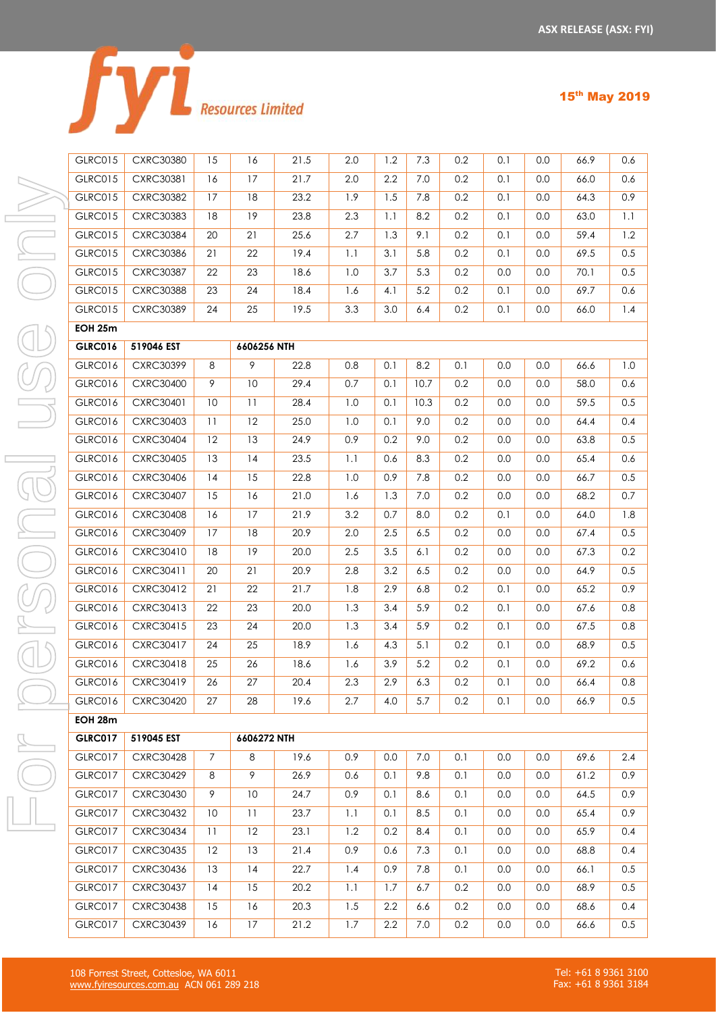|  | <b>Resources Limited</b> |
|--|--------------------------|

| <b>GLRC015</b> | <b>CXRC30380</b> | 15             | 16          | 21.5 | 2.0     | 1.2     | 7.3  | 0.2 | 0.1     | 0.0 | 66.9 | 0.6     |
|----------------|------------------|----------------|-------------|------|---------|---------|------|-----|---------|-----|------|---------|
| GLRC015        | CXRC30381        | 16             | 17          | 21.7 | 2.0     | 2.2     | 7.0  | 0.2 | 0.1     | 0.0 | 66.0 | 0.6     |
| <b>GLRC015</b> | <b>CXRC30382</b> | 17             | 18          | 23.2 | 1.9     | 1.5     | 7.8  | 0.2 | 0.1     | 0.0 | 64.3 | 0.9     |
| <b>GLRC015</b> | <b>CXRC30383</b> | 18             | 19          | 23.8 | 2.3     | 1.1     | 8.2  | 0.2 | 0.1     | 0.0 | 63.0 | 1.1     |
| GLRC015        | <b>CXRC30384</b> | 20             | 21          | 25.6 | 2.7     | 1.3     | 9.1  | 0.2 | 0.1     | 0.0 | 59.4 | 1.2     |
| <b>GLRC015</b> | CXRC30386        | 21             | 22          | 19.4 | 1.1     | 3.1     | 5.8  | 0.2 | 0.1     | 0.0 | 69.5 | 0.5     |
| <b>GLRC015</b> | <b>CXRC30387</b> | 22             | 23          | 18.6 | 1.0     | 3.7     | 5.3  | 0.2 | $0.0\,$ | 0.0 | 70.1 | 0.5     |
| <b>GLRC015</b> | <b>CXRC30388</b> | 23             | 24          | 18.4 | 1.6     | 4.1     | 5.2  | 0.2 | 0.1     | 0.0 | 69.7 | 0.6     |
| <b>GLRC015</b> | <b>CXRC30389</b> | 24             | 25          | 19.5 | 3.3     | 3.0     | 6.4  | 0.2 | 0.1     | 0.0 | 66.0 | 1.4     |
| <b>EOH 25m</b> |                  |                |             |      |         |         |      |     |         |     |      |         |
| <b>GLRC016</b> | 519046 EST       |                | 6606256 NTH |      |         |         |      |     |         |     |      |         |
| GLRC016        | <b>CXRC30399</b> | 8              | 9           | 22.8 | 0.8     | 0.1     | 8.2  | 0.1 | 0.0     | 0.0 | 66.6 | 1.0     |
| GLRC016        | <b>CXRC30400</b> | 9              | 10          | 29.4 | 0.7     | 0.1     | 10.7 | 0.2 | 0.0     | 0.0 | 58.0 | 0.6     |
| <b>GLRC016</b> | <b>CXRC30401</b> | 10             | 11          | 28.4 | 1.0     | 0.1     | 10.3 | 0.2 | 0.0     | 0.0 | 59.5 | 0.5     |
| <b>GLRC016</b> | <b>CXRC30403</b> | 11             | 12          | 25.0 | 1.0     | 0.1     | 9.0  | 0.2 | 0.0     | 0.0 | 64.4 | 0.4     |
| GLRC016        | <b>CXRC30404</b> | 12             | 13          | 24.9 | 0.9     | 0.2     | 9.0  | 0.2 | 0.0     | 0.0 | 63.8 | 0.5     |
| GLRC016        | <b>CXRC30405</b> | 13             | 14          | 23.5 | 1.1     | 0.6     | 8.3  | 0.2 | 0.0     | 0.0 | 65.4 | 0.6     |
| GLRC016        | CXRC30406        | 14             | 15          | 22.8 | 1.0     | 0.9     | 7.8  | 0.2 | 0.0     | 0.0 | 66.7 | 0.5     |
| GLRC016        | <b>CXRC30407</b> | 15             | 16          | 21.0 | 1.6     | 1.3     | 7.0  | 0.2 | 0.0     | 0.0 | 68.2 | $0.7\,$ |
| GLRC016        | <b>CXRC30408</b> | 16             | 17          | 21.9 | 3.2     | 0.7     | 8.0  | 0.2 | 0.1     | 0.0 | 64.0 | 1.8     |
| <b>GLRC016</b> | <b>CXRC30409</b> | 17             | $18\,$      | 20.9 | 2.0     | 2.5     | 6.5  | 0.2 | 0.0     | 0.0 | 67.4 | 0.5     |
| GLRC016        | CXRC30410        | 18             | 19          | 20.0 | 2.5     | $3.5\,$ | 6.1  | 0.2 | 0.0     | 0.0 | 67.3 | 0.2     |
| <b>GLRC016</b> | CXRC30411        | 20             | 21          | 20.9 | 2.8     | 3.2     | 6.5  | 0.2 | 0.0     | 0.0 | 64.9 | 0.5     |
| GLRC016        | CXRC30412        | 21             | 22          | 21.7 | 1.8     | 2.9     | 6.8  | 0.2 | 0.1     | 0.0 | 65.2 | 0.9     |
| GLRC016        | CXRC30413        | 22             | 23          | 20.0 | 1.3     | 3.4     | 5.9  | 0.2 | 0.1     | 0.0 | 67.6 | 0.8     |
| GLRC016        | CXRC30415        | 23             | 24          | 20.0 | 1.3     | 3.4     | 5.9  | 0.2 | 0.1     | 0.0 | 67.5 | 0.8     |
| GLRC016        | CXRC30417        | 24             | 25          | 18.9 | 1.6     | 4.3     | 5.1  | 0.2 | 0.1     | 0.0 | 68.9 | 0.5     |
| <b>GLRC016</b> | CXRC30418        | 25             | 26          | 18.6 | 1.6     | 3.9     | 5.2  | 0.2 | 0.1     | 0.0 | 69.2 | 0.6     |
| <b>GLRC016</b> | CXRC30419        | 26             | 27          | 20.4 | 2.3     | 2.9     | 6.3  | 0.2 | 0.1     | 0.0 | 66.4 | 0.8     |
| <b>GLRC016</b> | <b>CXRC30420</b> | 27             | 28          | 19.6 | 2.7     | 4.0     | 5.7  | 0.2 | 0.1     | 0.0 | 66.9 | 0.5     |
| EOH 28m        |                  |                |             |      |         |         |      |     |         |     |      |         |
| <b>GLRC017</b> | 519045 EST       |                | 6606272 NTH |      |         |         |      |     |         |     |      |         |
| GLRC017        | <b>CXRC30428</b> | $\overline{7}$ | 8           | 19.6 | 0.9     | 0.0     | 7.0  | 0.1 | 0.0     | 0.0 | 69.6 | 2.4     |
| GLRC017        | <b>CXRC30429</b> | 8              | 9           | 26.9 | 0.6     | 0.1     | 9.8  | 0.1 | 0.0     | 0.0 | 61.2 | 0.9     |
| GLRC017        | <b>CXRC30430</b> | 9              | 10          | 24.7 | 0.9     | 0.1     | 8.6  | 0.1 | 0.0     | 0.0 | 64.5 | 0.9     |
| GLRC017        | <b>CXRC30432</b> | 10             | 11          | 23.7 | 1.1     | 0.1     | 8.5  | 0.1 | 0.0     | 0.0 | 65.4 | 0.9     |
| <b>GLRC017</b> | <b>CXRC30434</b> | 11             | 12          | 23.1 | 1.2     | 0.2     | 8.4  | 0.1 | 0.0     | 0.0 | 65.9 | 0.4     |
| GLRC017        | <b>CXRC30435</b> | 12             | 13          | 21.4 | 0.9     | 0.6     | 7.3  | 0.1 | 0.0     | 0.0 | 68.8 | 0.4     |
| GLRC017        | CXRC30436        | 13             | 14          | 22.7 | 1.4     | 0.9     | 7.8  | 0.1 | 0.0     | 0.0 | 66.1 | 0.5     |
| GLRC017        | <b>CXRC30437</b> | 14             | 15          | 20.2 | 1.1     | 1.7     | 6.7  | 0.2 | 0.0     | 0.0 | 68.9 | 0.5     |
| GLRC017        | <b>CXRC30438</b> | 15             | 16          | 20.3 | $1.5\,$ | 2.2     | 6.6  | 0.2 | $0.0\,$ | 0.0 | 68.6 | 0.4     |

GLRC017 CXRC30439 16 17 21.2 1.7 2.2 7.0 0.2 0.0 0.0 66.6 0.5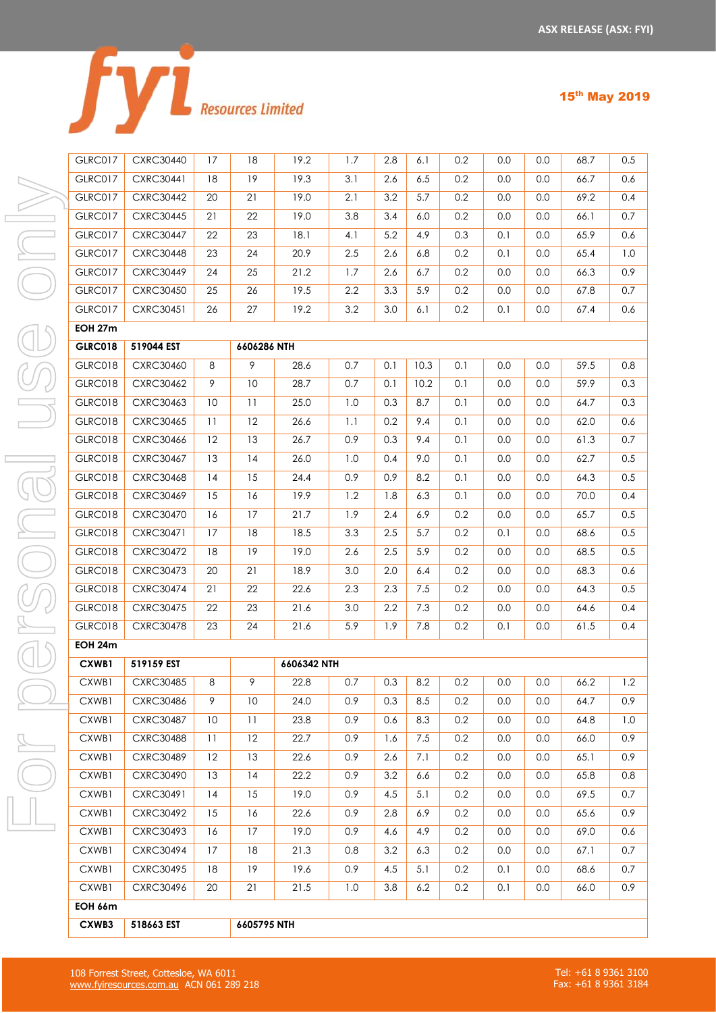|  | <b>Resources Limited</b> |
|--|--------------------------|

| <b>GLRC017</b> | <b>CXRC30440</b> | 17 | 18          | 19.2        | 1.7 | 2.8 | 6.1  | 0.2 | 0.0 | 0.0 | 68.7 | 0.5            |
|----------------|------------------|----|-------------|-------------|-----|-----|------|-----|-----|-----|------|----------------|
| <b>GLRC017</b> | <b>CXRC30441</b> | 18 | 19          | 19.3        | 3.1 | 2.6 | 6.5  | 0.2 | 0.0 | 0.0 | 66.7 | 0.6            |
| GLRC017        | <b>CXRC30442</b> | 20 | 21          | 19.0        | 2.1 | 3.2 | 5.7  | 0.2 | 0.0 | 0.0 | 69.2 | 0.4            |
| <b>GLRC017</b> | <b>CXRC30445</b> | 21 | 22          | 19.0        | 3.8 | 3.4 | 6.0  | 0.2 | 0.0 | 0.0 | 66.1 | 0.7            |
| <b>GLRC017</b> | <b>CXRC30447</b> | 22 | 23          | 18.1        | 4.1 | 5.2 | 4.9  | 0.3 | 0.1 | 0.0 | 65.9 | 0.6            |
| <b>GLRC017</b> | <b>CXRC30448</b> | 23 | 24          | 20.9        | 2.5 | 2.6 | 6.8  | 0.2 | 0.1 | 0.0 | 65.4 | 1 <sub>c</sub> |
| GLRC017        | <b>CXRC30449</b> | 24 | 25          | 21.2        | 1.7 | 2.6 | 6.7  | 0.2 | 0.0 | 0.0 | 66.3 | 0.9            |
| <b>GLRC017</b> | <b>CXRC30450</b> | 25 | 26          | 19.5        | 2.2 | 3.3 | 5.9  | 0.2 | 0.0 | 0.0 | 67.8 | 0.7            |
| GLRC017        | <b>CXRC30451</b> | 26 | 27          | 19.2        | 3.2 | 3.0 | 6.1  | 0.2 | 0.1 | 0.0 | 67.4 | 0.6            |
| <b>EOH 27m</b> |                  |    |             |             |     |     |      |     |     |     |      |                |
| <b>GLRC018</b> | 519044 EST       |    | 6606286 NTH |             |     |     |      |     |     |     |      |                |
| GLRC018        | <b>CXRC30460</b> | 8  | 9           | 28.6        | 0.7 | 0.1 | 10.3 | 0.1 | 0.0 | 0.0 | 59.5 | 0.8            |
| <b>GLRC018</b> | <b>CXRC30462</b> | 9  | 10          | 28.7        | 0.7 | 0.1 | 10.2 | 0.1 | 0.0 | 0.0 | 59.9 | 0.3            |
| GLRC018        | CXRC30463        | 10 | 11          | 25.0        | 1.0 | 0.3 | 8.7  | 0.1 | 0.0 | 0.0 | 64.7 | 0.3            |
| <b>GLRC018</b> | <b>CXRC30465</b> | 11 | 12          | 26.6        | 1.1 | 0.2 | 9.4  | 0.1 | 0.0 | 0.0 | 62.0 | 0.6            |
| GLRC018        | CXRC30466        | 12 | 13          | 26.7        | 0.9 | 0.3 | 9.4  | 0.1 | 0.0 | 0.0 | 61.3 | 0.7            |
| <b>GLRC018</b> | <b>CXRC30467</b> | 13 | 14          | 26.0        | 1.0 | 0.4 | 9.0  | 0.1 | 0.0 | 0.0 | 62.7 | 0.5            |
| <b>GLRC018</b> | <b>CXRC30468</b> | 14 | 15          | 24.4        | 0.9 | 0.9 | 8.2  | 0.1 | 0.0 | 0.0 | 64.3 | 0.5            |
| <b>GLRC018</b> | <b>CXRC30469</b> | 15 | 16          | 19.9        | 1.2 | 1.8 | 6.3  | 0.1 | 0.0 | 0.0 | 70.0 | 0.4            |
| GLRC018        | <b>CXRC30470</b> | 16 | 17          | 21.7        | 1.9 | 2.4 | 6.9  | 0.2 | 0.0 | 0.0 | 65.7 | 0.5            |
| <b>GLRC018</b> | CXRC30471        | 17 | 18          | 18.5        | 3.3 | 2.5 | 5.7  | 0.2 | 0.1 | 0.0 | 68.6 | 0.5            |
| GLRC018        | <b>CXRC30472</b> | 18 | 19          | 19.0        | 2.6 | 2.5 | 5.9  | 0.2 | 0.0 | 0.0 | 68.5 | 0.5            |
| <b>GLRC018</b> | <b>CXRC30473</b> | 20 | 21          | 18.9        | 3.0 | 2.0 | 6.4  | 0.2 | 0.0 | 0.0 | 68.3 | 0.6            |
| <b>GLRC018</b> | <b>CXRC30474</b> | 21 | 22          | 22.6        | 2.3 | 2.3 | 7.5  | 0.2 | 0.0 | 0.0 | 64.3 | 0.5            |
| <b>GLRC018</b> | <b>CXRC30475</b> | 22 | 23          | 21.6        | 3.0 | 2.2 | 7.3  | 0.2 | 0.0 | 0.0 | 64.6 | 0.4            |
| GLRC018        | <b>CXRC30478</b> | 23 | 24          | 21.6        | 5.9 | 1.9 | 7.8  | 0.2 | 0.1 | 0.0 | 61.5 | 0.4            |
| <b>EOH 24m</b> |                  |    |             |             |     |     |      |     |     |     |      |                |
| CXWB1          | 519159 EST       |    |             | 6606342 NTH |     |     |      |     |     |     |      |                |
| CXWB1          | <b>CXRC30485</b> | 8  | 9           | 22.8        | 0.7 | 0.3 | 8.2  | 0.2 | 0.0 | 0.0 | 66.2 | 1.2            |
| CXWB1          | CXRC30486        | 9  | 10          | 24.0        | 0.9 | 0.3 | 8.5  | 0.2 | 0.0 | 0.0 | 64.7 | 0.9            |
| CXWB1          | <b>CXRC30487</b> | 10 | 11          | 23.8        | 0.9 | 0.6 | 8.3  | 0.2 | 0.0 | 0.0 | 64.8 | 1 <sub>c</sub> |
| CXWB1          | <b>CXRC30488</b> | 11 | 12          | 22.7        | 0.9 | 1.6 | 7.5  | 0.2 | 0.0 | 0.0 | 66.0 | 0.9            |
| CXWB1          | <b>CXRC30489</b> | 12 | 13          | 22.6        | 0.9 | 2.6 | 7.1  | 0.2 | 0.0 | 0.0 | 65.1 | 0.9            |
| CXWB1          | <b>CXRC30490</b> | 13 | 14          | 22.2        | 0.9 | 3.2 | 6.6  | 0.2 | 0.0 | 0.0 | 65.8 | 0.8            |
| CXWB1          | CXRC30491        | 14 | 15          | 19.0        | 0.9 | 4.5 | 5.1  | 0.2 | 0.0 | 0.0 | 69.5 | 0.7            |
| CXWB1          | <b>CXRC30492</b> | 15 | 16          | 22.6        | 0.9 | 2.8 | 6.9  | 0.2 | 0.0 | 0.0 | 65.6 | 0.9            |
| CXWB1          | CXRC30493        | 16 | 17          | 19.0        | 0.9 | 4.6 | 4.9  | 0.2 | 0.0 | 0.0 | 69.0 | 0.6            |
| CXWB1          | <b>CXRC30494</b> | 17 | 18          | 21.3        | 0.8 | 3.2 | 6.3  | 0.2 | 0.0 | 0.0 | 67.1 | 0.7            |

**EOH 66m**

**CXWB3 518663 EST 6605795 NTH**